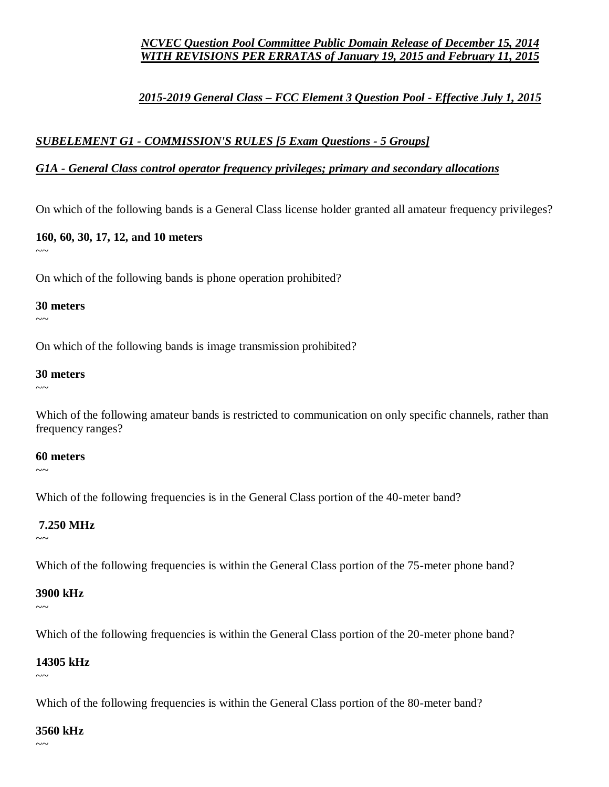#### *NCVEC Question Pool Committee Public Domain Release of December 15, 2014 WITH REVISIONS PER ERRATAS of January 19, 2015 and February 11, 2015*

## *2015-2019 General Class – FCC Element 3 Question Pool - Effective July 1, 2015*

#### *SUBELEMENT G1 - COMMISSION'S RULES [5 Exam Questions - 5 Groups]*

#### *G1A - General Class control operator frequency privileges; primary and secondary allocations*

On which of the following bands is a General Class license holder granted all amateur frequency privileges?

**160, 60, 30, 17, 12, and 10 meters**

 $\sim$   $\sim$ 

On which of the following bands is phone operation prohibited?

#### **30 meters**

 $\sim$   $\sim$ 

On which of the following bands is image transmission prohibited?

#### **30 meters**

~~~

Which of the following amateur bands is restricted to communication on only specific channels, rather than frequency ranges?

#### **60 meters**

 $\sim$   $\sim$ 

Which of the following frequencies is in the General Class portion of the 40-meter band?

#### **7.250 MHz**

 $\sim$   $\sim$ 

Which of the following frequencies is within the General Class portion of the 75-meter phone band?

## **3900 kHz**

 $\sim$ 

Which of the following frequencies is within the General Class portion of the 20-meter phone band?

#### **14305 kHz**

 $\sim\sim$ 

Which of the following frequencies is within the General Class portion of the 80-meter band?

#### **3560 kHz**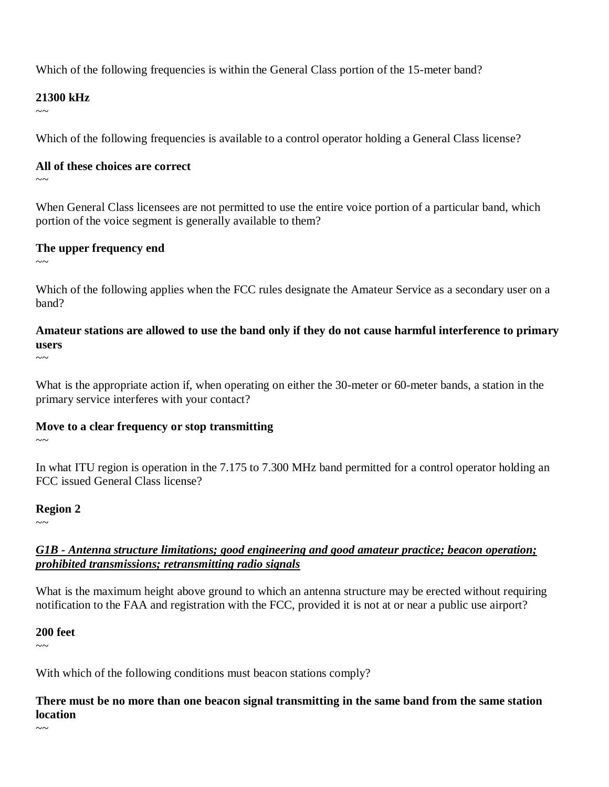Which of the following frequencies is within the General Class portion of the 15-meter band?

#### **21300 kHz**

 $\sim$ 

Which of the following frequencies is available to a control operator holding a General Class license?

#### **All of these choices are correct**

~~~

When General Class licensees are not permitted to use the entire voice portion of a particular band, which portion of the voice segment is generally available to them?

## **The upper frequency end**

 $\sim$   $\sim$ 

Which of the following applies when the FCC rules designate the Amateur Service as a secondary user on a band?

**Amateur stations are allowed to use the band only if they do not cause harmful interference to primary users**  $\sim\sim$ 

What is the appropriate action if, when operating on either the 30-meter or 60-meter bands, a station in the primary service interferes with your contact?

## **Move to a clear frequency or stop transmitting**

In what ITU region is operation in the 7.175 to 7.300 MHz band permitted for a control operator holding an FCC issued General Class license?

## **Region 2**

 $\sim$ ~

 $\sim$ ~

## *G1B - Antenna structure limitations; good engineering and good amateur practice; beacon operation; prohibited transmissions; retransmitting radio signals*

What is the maximum height above ground to which an antenna structure may be erected without requiring notification to the FAA and registration with the FCC, provided it is not at or near a public use airport?

## **200 feet**

 $\sim$   $\sim$ 

 $\sim$  ~~

With which of the following conditions must beacon stations comply?

**There must be no more than one beacon signal transmitting in the same band from the same station location**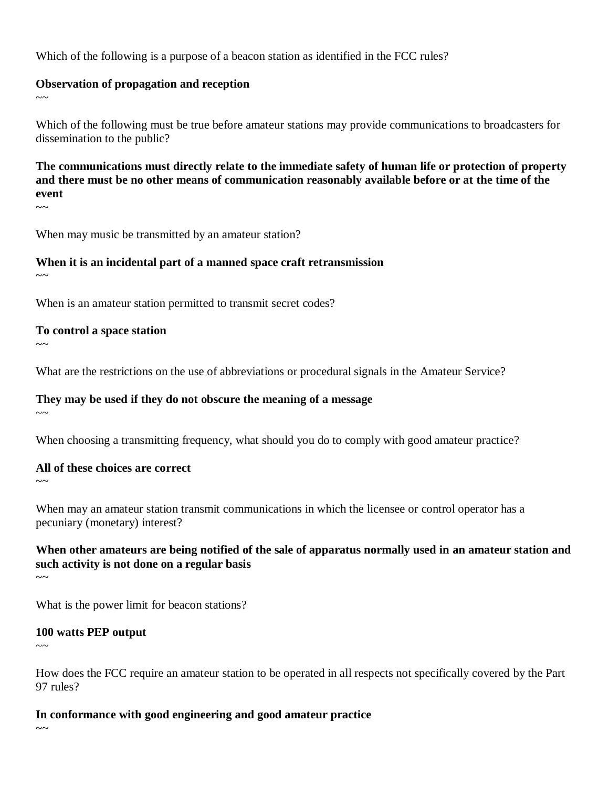Which of the following is a purpose of a beacon station as identified in the FCC rules?

#### **Observation of propagation and reception**

 $\sim$  ~

Which of the following must be true before amateur stations may provide communications to broadcasters for dissemination to the public?

**The communications must directly relate to the immediate safety of human life or protection of property and there must be no other means of communication reasonably available before or at the time of the event**

 $\sim$ ~

When may music be transmitted by an amateur station?

## **When it is an incidental part of a manned space craft retransmission**

 $\sim$ ~

When is an amateur station permitted to transmit secret codes?

#### **To control a space station**

 $\sim$ 

What are the restrictions on the use of abbreviations or procedural signals in the Amateur Service?

## **They may be used if they do not obscure the meaning of a message**

 $\sim$ 

When choosing a transmitting frequency, what should you do to comply with good amateur practice?

#### **All of these choices are correct**

 $\sim$ 

When may an amateur station transmit communications in which the licensee or control operator has a pecuniary (monetary) interest?

**When other amateurs are being notified of the sale of apparatus normally used in an amateur station and such activity is not done on a regular basis**  $\sim$   $\sim$ 

What is the power limit for beacon stations?

## **100 watts PEP output**

 $\sim$   $\sim$ 

How does the FCC require an amateur station to be operated in all respects not specifically covered by the Part 97 rules?

## **In conformance with good engineering and good amateur practice**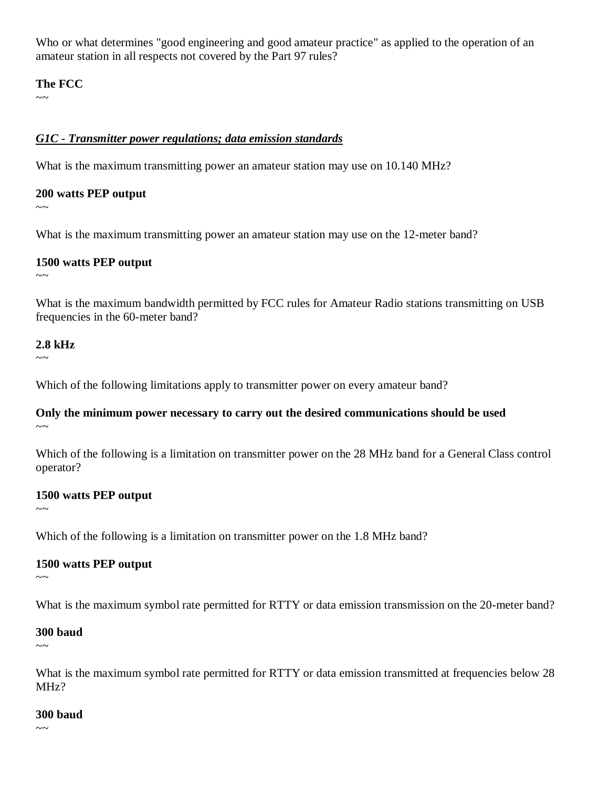Who or what determines "good engineering and good amateur practice" as applied to the operation of an amateur station in all respects not covered by the Part 97 rules?

#### **The FCC**

 $\sim$ 

#### *G1C - Transmitter power regulations; data emission standards*

What is the maximum transmitting power an amateur station may use on 10.140 MHz?

#### **200 watts PEP output**

 $\sim$   $\sim$ 

What is the maximum transmitting power an amateur station may use on the 12-meter band?

#### **1500 watts PEP output**

 $\sim$   $\sim$ 

What is the maximum bandwidth permitted by FCC rules for Amateur Radio stations transmitting on USB frequencies in the 60-meter band?

## **2.8 kHz**

 $\sim$ ~

Which of the following limitations apply to transmitter power on every amateur band?

#### **Only the minimum power necessary to carry out the desired communications should be used**  $\sim$   $\sim$

Which of the following is a limitation on transmitter power on the 28 MHz band for a General Class control operator?

#### **1500 watts PEP output**

 $\sim$ ~

Which of the following is a limitation on transmitter power on the 1.8 MHz band?

## **1500 watts PEP output**

 $\sim$   $\sim$ 

What is the maximum symbol rate permitted for RTTY or data emission transmission on the 20-meter band?

#### **300 baud**

 $\sim$ 

What is the maximum symbol rate permitted for RTTY or data emission transmitted at frequencies below 28 MHz?

#### **300 baud**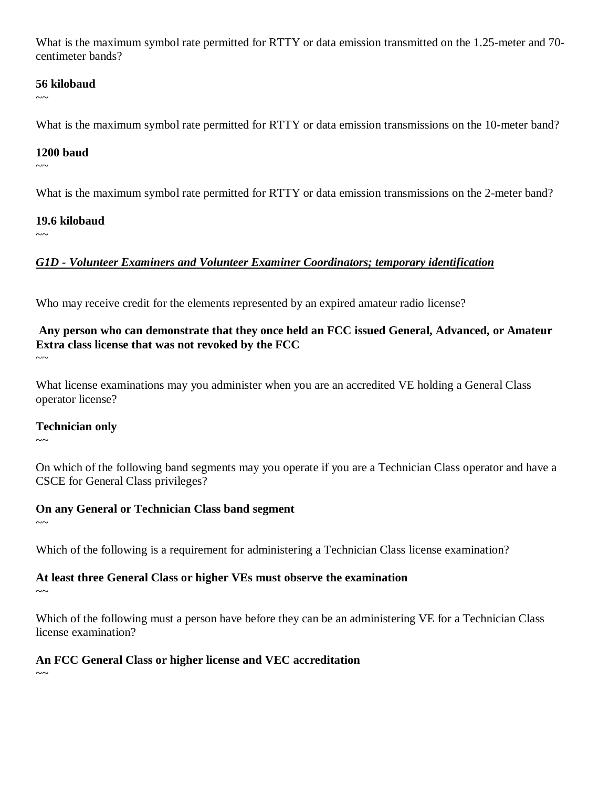What is the maximum symbol rate permitted for RTTY or data emission transmitted on the 1.25-meter and 70 centimeter bands?

#### **56 kilobaud**

 $\sim$ 

What is the maximum symbol rate permitted for RTTY or data emission transmissions on the 10-meter band?

#### **1200 baud**

 $\sim$   $\sim$ 

What is the maximum symbol rate permitted for RTTY or data emission transmissions on the 2-meter band?

#### **19.6 kilobaud**

 $\sim$ ~

## *G1D - Volunteer Examiners and Volunteer Examiner Coordinators; temporary identification*

Who may receive credit for the elements represented by an expired amateur radio license?

# **Any person who can demonstrate that they once held an FCC issued General, Advanced, or Amateur Extra class license that was not revoked by the FCC**

 $\sim\sim$ 

What license examinations may you administer when you are an accredited VE holding a General Class operator license?

## **Technician only**

 $\sim$ ~

On which of the following band segments may you operate if you are a Technician Class operator and have a CSCE for General Class privileges?

## **On any General or Technician Class band segment**

 $\sim$ ~

Which of the following is a requirement for administering a Technician Class license examination?

## **At least three General Class or higher VEs must observe the examination**

 $\sim$ ~

Which of the following must a person have before they can be an administering VE for a Technician Class license examination?

## **An FCC General Class or higher license and VEC accreditation**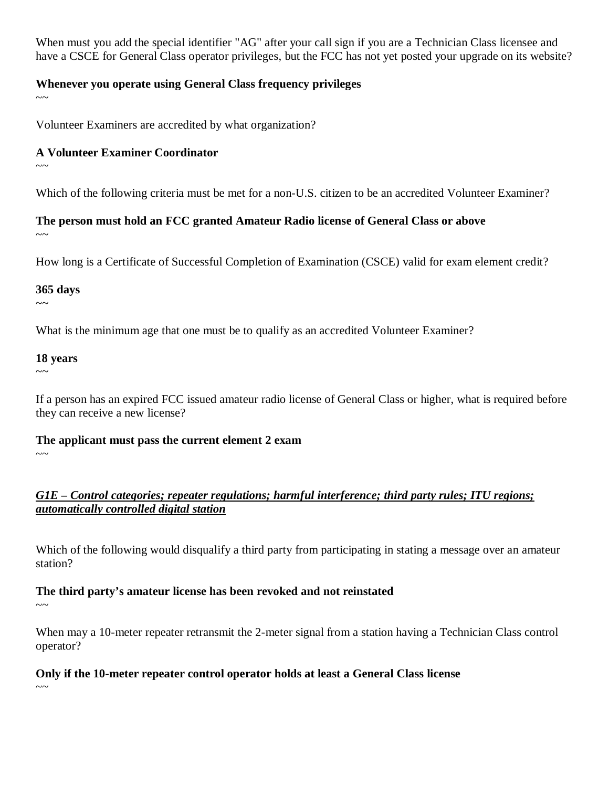When must you add the special identifier "AG" after your call sign if you are a Technician Class licensee and have a CSCE for General Class operator privileges, but the FCC has not yet posted your upgrade on its website?

#### **Whenever you operate using General Class frequency privileges**

 $\sim$ 

Volunteer Examiners are accredited by what organization?

#### **A Volunteer Examiner Coordinator**

 $\sim$ 

Which of the following criteria must be met for a non-U.S. citizen to be an accredited Volunteer Examiner?

**The person must hold an FCC granted Amateur Radio license of General Class or above**  $\sim$ ~

How long is a Certificate of Successful Completion of Examination (CSCE) valid for exam element credit?

#### **365 days**

 $\sim$ ~

What is the minimum age that one must be to qualify as an accredited Volunteer Examiner?

## **18 years**

 $\sim$   $\sim$ 

If a person has an expired FCC issued amateur radio license of General Class or higher, what is required before they can receive a new license?

**The applicant must pass the current element 2 exam** 

 $\sim$   $\sim$ 

## *G1E – Control categories; repeater regulations; harmful interference; third party rules; ITU regions; automatically controlled digital station*

Which of the following would disqualify a third party from participating in stating a message over an amateur station?

## **The third party's amateur license has been revoked and not reinstated**

 $\sim\sim$ 

When may a 10-meter repeater retransmit the 2-meter signal from a station having a Technician Class control operator?

## **Only if the 10-meter repeater control operator holds at least a General Class license**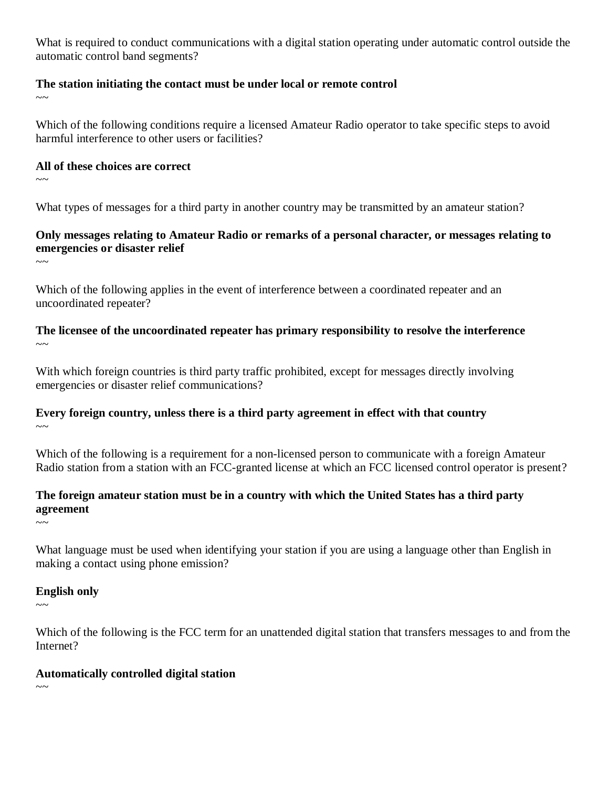What is required to conduct communications with a digital station operating under automatic control outside the automatic control band segments?

#### **The station initiating the contact must be under local or remote control**

 $\sim$ 

Which of the following conditions require a licensed Amateur Radio operator to take specific steps to avoid harmful interference to other users or facilities?

#### **All of these choices are correct**

 $\sim$ 

What types of messages for a third party in another country may be transmitted by an amateur station?

## **Only messages relating to Amateur Radio or remarks of a personal character, or messages relating to emergencies or disaster relief**

 $\sim$ 

Which of the following applies in the event of interference between a coordinated repeater and an uncoordinated repeater?

**The licensee of the uncoordinated repeater has primary responsibility to resolve the interference**  $\sim$ 

With which foreign countries is third party traffic prohibited, except for messages directly involving emergencies or disaster relief communications?

#### **Every foreign country, unless there is a third party agreement in effect with that country**  $\sim$

Which of the following is a requirement for a non-licensed person to communicate with a foreign Amateur Radio station from a station with an FCC-granted license at which an FCC licensed control operator is present?

## **The foreign amateur station must be in a country with which the United States has a third party agreement**

 $\sim$ ~

What language must be used when identifying your station if you are using a language other than English in making a contact using phone emission?

# **English only**

 $\sim\sim$ 

Which of the following is the FCC term for an unattended digital station that transfers messages to and from the Internet?

## **Automatically controlled digital station**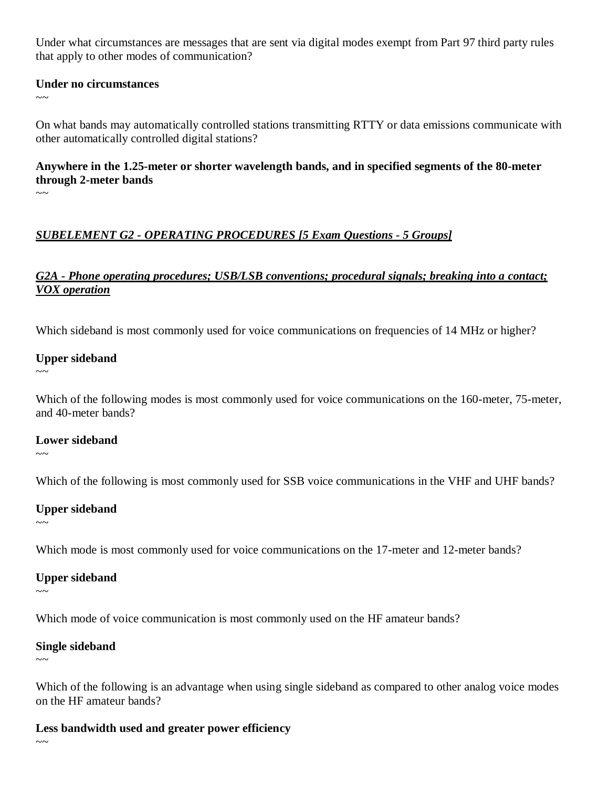Under what circumstances are messages that are sent via digital modes exempt from Part 97 third party rules that apply to other modes of communication?

#### **Under no circumstances**

 $\sim$ 

On what bands may automatically controlled stations transmitting RTTY or data emissions communicate with other automatically controlled digital stations?

## **Anywhere in the 1.25-meter or shorter wavelength bands, and in specified segments of the 80-meter through 2-meter bands**

 $\sim\sim$ 

# *SUBELEMENT G2 - OPERATING PROCEDURES [5 Exam Questions - 5 Groups]*

## *G2A - Phone operating procedures; USB/LSB conventions; procedural signals; breaking into a contact; VOX operation*

Which sideband is most commonly used for voice communications on frequencies of 14 MHz or higher?

## **Upper sideband**

 $\sim$   $\sim$ 

Which of the following modes is most commonly used for voice communications on the 160-meter, 75-meter, and 40-meter bands?

## **Lower sideband**

 $\sim$ ~

Which of the following is most commonly used for SSB voice communications in the VHF and UHF bands?

## **Upper sideband**

 $\sim$ ~

Which mode is most commonly used for voice communications on the 17-meter and 12-meter bands?

## **Upper sideband**

 $\sim\sim$ 

Which mode of voice communication is most commonly used on the HF amateur bands?

## **Single sideband**

 $\sim$  ~

Which of the following is an advantage when using single sideband as compared to other analog voice modes on the HF amateur bands?

## **Less bandwidth used and greater power efficiency**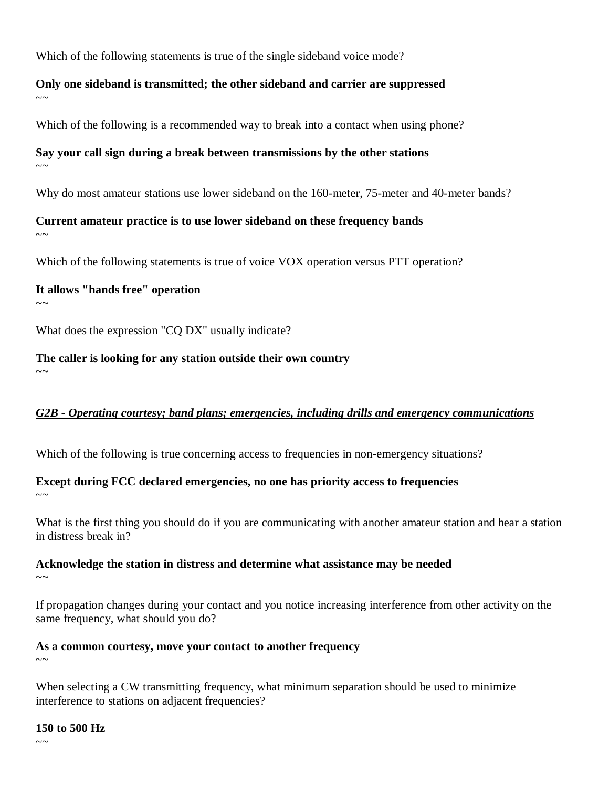Which of the following statements is true of the single sideband voice mode?

#### **Only one sideband is transmitted; the other sideband and carrier are suppressed**   $\sim$   $\sim$

Which of the following is a recommended way to break into a contact when using phone?

## **Say your call sign during a break between transmissions by the other stations**

 $\sim$   $\sim$ 

Why do most amateur stations use lower sideband on the 160-meter, 75-meter and 40-meter bands?

**Current amateur practice is to use lower sideband on these frequency bands**  $\sim$ 

Which of the following statements is true of voice VOX operation versus PTT operation?

#### **It allows "hands free" operation**

 $\sim$   $\sim$ 

 $\sim$   $\sim$ 

What does the expression "CQ DX" usually indicate?

**The caller is looking for any station outside their own country**

## *G2B - Operating courtesy; band plans; emergencies, including drills and emergency communications*

Which of the following is true concerning access to frequencies in non-emergency situations?

#### **Except during FCC declared emergencies, no one has priority access to frequencies**  $\sim$   $\sim$

What is the first thing you should do if you are communicating with another amateur station and hear a station in distress break in?

#### **Acknowledge the station in distress and determine what assistance may be needed**  $\sim$   $\sim$

If propagation changes during your contact and you notice increasing interference from other activity on the same frequency, what should you do?

#### **As a common courtesy, move your contact to another frequency**

 $\sim$  ~

When selecting a CW transmitting frequency, what minimum separation should be used to minimize interference to stations on adjacent frequencies?

#### **150 to 500 Hz**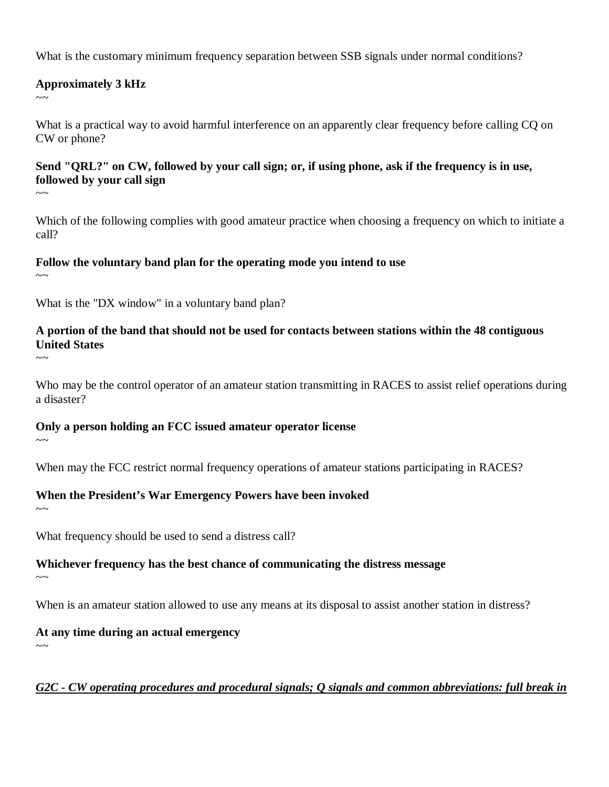What is the customary minimum frequency separation between SSB signals under normal conditions?

#### **Approximately 3 kHz**

 $\sim$   $\sim$ 

What is a practical way to avoid harmful interference on an apparently clear frequency before calling CQ on CW or phone?

## **Send "QRL?" on CW, followed by your call sign; or, if using phone, ask if the frequency is in use, followed by your call sign**

Which of the following complies with good amateur practice when choosing a frequency on which to initiate a call?

## **Follow the voluntary band plan for the operating mode you intend to use**

 $\sim$ ~

 $\sim\sim$ 

What is the "DX window" in a voluntary band plan?

## **A portion of the band that should not be used for contacts between stations within the 48 contiguous United States**

 $\sim$  ~~

Who may be the control operator of an amateur station transmitting in RACES to assist relief operations during a disaster?

## **Only a person holding an FCC issued amateur operator license**

When may the FCC restrict normal frequency operations of amateur stations participating in RACES?

## **When the President's War Emergency Powers have been invoked**

 $\sim$ ~

 $\sim$ ~

What frequency should be used to send a distress call?

# **Whichever frequency has the best chance of communicating the distress message**

 $\sim$  ~

When is an amateur station allowed to use any means at its disposal to assist another station in distress?

## **At any time during an actual emergency**

 $\sim$   $\sim$ 

## *G2C - CW operating procedures and procedural signals; Q signals and common abbreviations: full break in*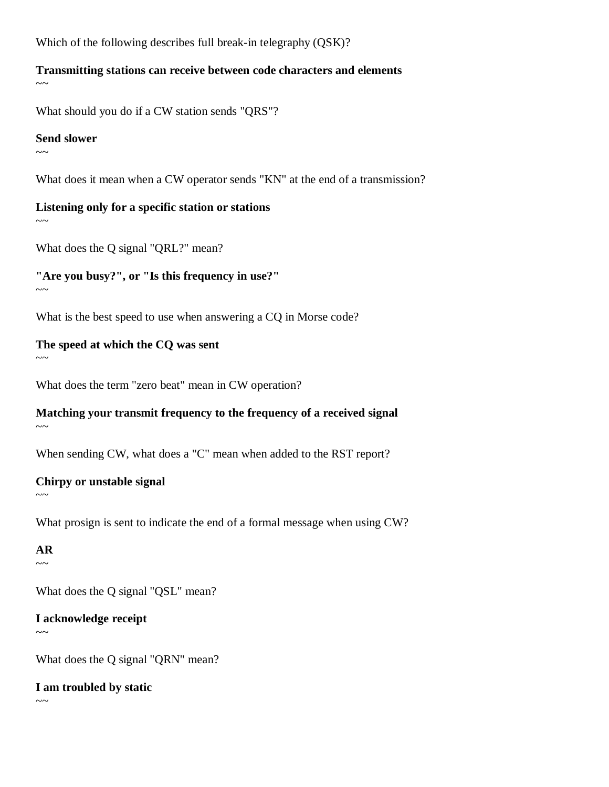Which of the following describes full break-in telegraphy (QSK)?

#### **Transmitting stations can receive between code characters and elements**  $\sim$   $\sim$

What should you do if a CW station sends "QRS"?

#### **Send slower**

 $\sim$  ~

What does it mean when a CW operator sends "KN" at the end of a transmission?

# **Listening only for a specific station or stations**

 $\sim$ ~

What does the Q signal "QRL?" mean?

## **"Are you busy?", or "Is this frequency in use?"**

 $\sim$  ~

What is the best speed to use when answering a CQ in Morse code?

## **The speed at which the CQ was sent**

 $\sim\sim$ 

What does the term "zero beat" mean in CW operation?

#### **Matching your transmit frequency to the frequency of a received signal**  $\sim\sim$

When sending CW, what does a "C" mean when added to the RST report?

## **Chirpy or unstable signal**

What prosign is sent to indicate the end of a formal message when using CW?

**AR**  $\sim$   $\sim$ 

 $\sim\sim$ 

What does the O signal "OSL" mean?

## **I acknowledge receipt**

 $\sim$ ~

What does the Q signal "QRN" mean?

## **I am troubled by static**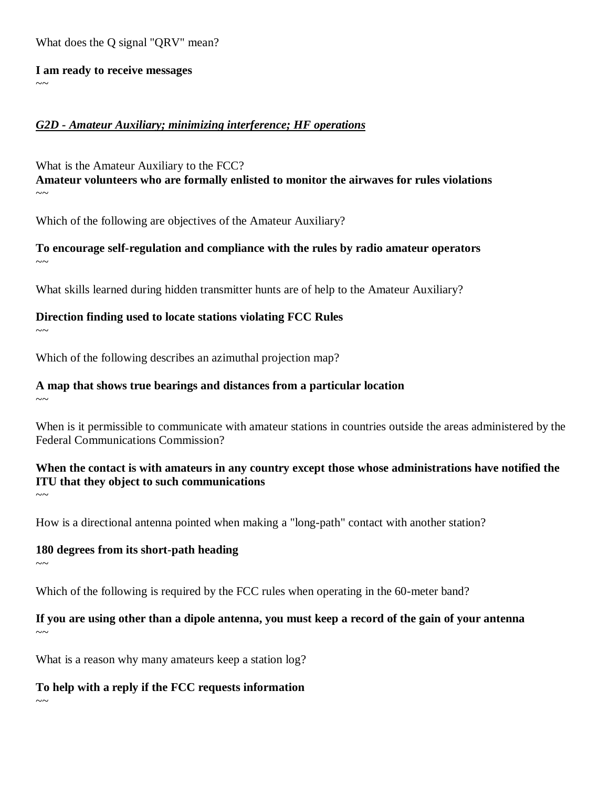What does the Q signal "QRV" mean?

**I am ready to receive messages**  $\sim$   $\sim$ 

#### *G2D - Amateur Auxiliary; minimizing interference; HF operations*

What is the Amateur Auxiliary to the FCC? **Amateur volunteers who are formally enlisted to monitor the airwaves for rules violations**   $\sim\sim$ 

Which of the following are objectives of the Amateur Auxiliary?

**To encourage self-regulation and compliance with the rules by radio amateur operators**  $\sim$   $\sim$ 

What skills learned during hidden transmitter hunts are of help to the Amateur Auxiliary?

**Direction finding used to locate stations violating FCC Rules**

 $\sim$  ~

Which of the following describes an azimuthal projection map?

#### **A map that shows true bearings and distances from a particular location**

 $\sim$ 

When is it permissible to communicate with amateur stations in countries outside the areas administered by the Federal Communications Commission?

## **When the contact is with amateurs in any country except those whose administrations have notified the ITU that they object to such communications**

How is a directional antenna pointed when making a "long-path" contact with another station?

#### **180 degrees from its short-path heading**

 $\sim$ 

 $\sim\sim$ 

 $\sim\sim$ 

Which of the following is required by the FCC rules when operating in the 60-meter band?

#### **If you are using other than a dipole antenna, you must keep a record of the gain of your antenna**  $\sim$ ~

What is a reason why many amateurs keep a station  $log?$ 

**To help with a reply if the FCC requests information**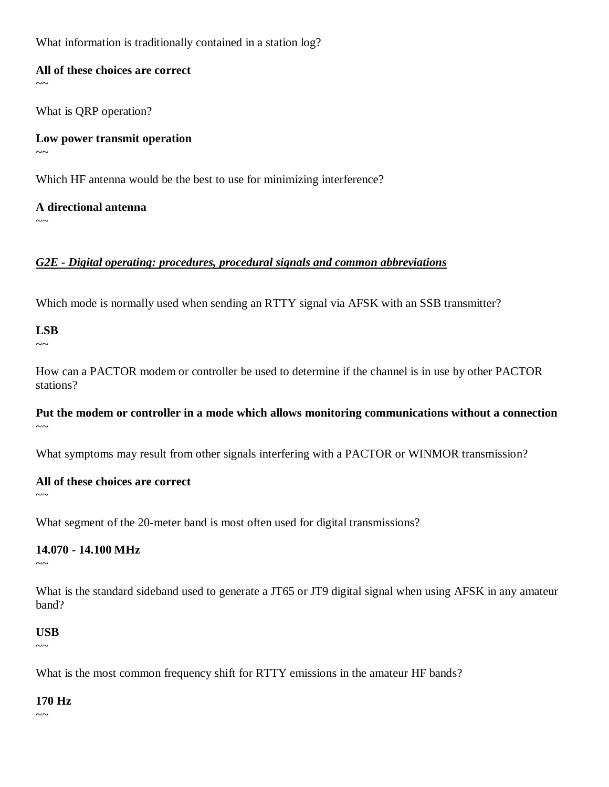What information is traditionally contained in a station log?

#### **All of these choices are correct**

 $\sim$   $\sim$ 

What is QRP operation?

**Low power transmit operation**  $\sim$   $\sim$ 

Which HF antenna would be the best to use for minimizing interference?

**A directional antenna**  $\sim\sim$ 

## *G2E - Digital operating: procedures, procedural signals and common abbreviations*

Which mode is normally used when sending an RTTY signal via AFSK with an SSB transmitter?

## **LSB**

 $\sim$   $\sim$ 

How can a PACTOR modem or controller be used to determine if the channel is in use by other PACTOR stations?

#### **Put the modem or controller in a mode which allows monitoring communications without a connection**  $\sim$   $\sim$

What symptoms may result from other signals interfering with a PACTOR or WINMOR transmission?

#### **All of these choices are correct**

 $\sim\sim$ 

What segment of the 20-meter band is most often used for digital transmissions?

## **14.070 - 14.100 MHz**

 $\sim\sim$ 

What is the standard sideband used to generate a JT65 or JT9 digital signal when using AFSK in any amateur band?

## **USB**

 $\sim$ ~

What is the most common frequency shift for RTTY emissions in the amateur HF bands?

## **170 Hz**

 $\sim$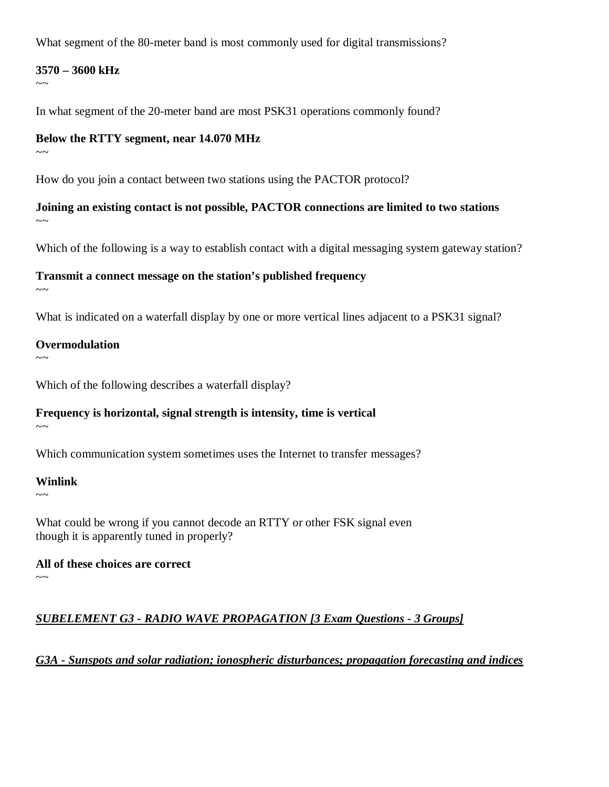What segment of the 80-meter band is most commonly used for digital transmissions?

#### **3570 – 3600 kHz**

 $\sim$   $\sim$ 

In what segment of the 20-meter band are most PSK31 operations commonly found?

#### **Below the RTTY segment, near 14.070 MHz**

 $\sim$ ~

How do you join a contact between two stations using the PACTOR protocol?

**Joining an existing contact is not possible, PACTOR connections are limited to two stations**   $\sim$   $\sim$ 

Which of the following is a way to establish contact with a digital messaging system gateway station?

## **Transmit a connect message on the station's published frequency**

 $\sim\sim$ 

What is indicated on a waterfall display by one or more vertical lines adjacent to a PSK31 signal?

#### **Overmodulation**

 $\sim\sim$ 

Which of the following describes a waterfall display?

## **Frequency is horizontal, signal strength is intensity, time is vertical**

 $\sim$ 

Which communication system sometimes uses the Internet to transfer messages?

## **Winlink**

 $\sim\sim$ 

What could be wrong if you cannot decode an RTTY or other FSK signal even though it is apparently tuned in properly?

**All of these choices are correct**   $\sim$  ~

## *SUBELEMENT G3 - RADIO WAVE PROPAGATION [3 Exam Questions - 3 Groups]*

*G3A - Sunspots and solar radiation; ionospheric disturbances; propagation forecasting and indices*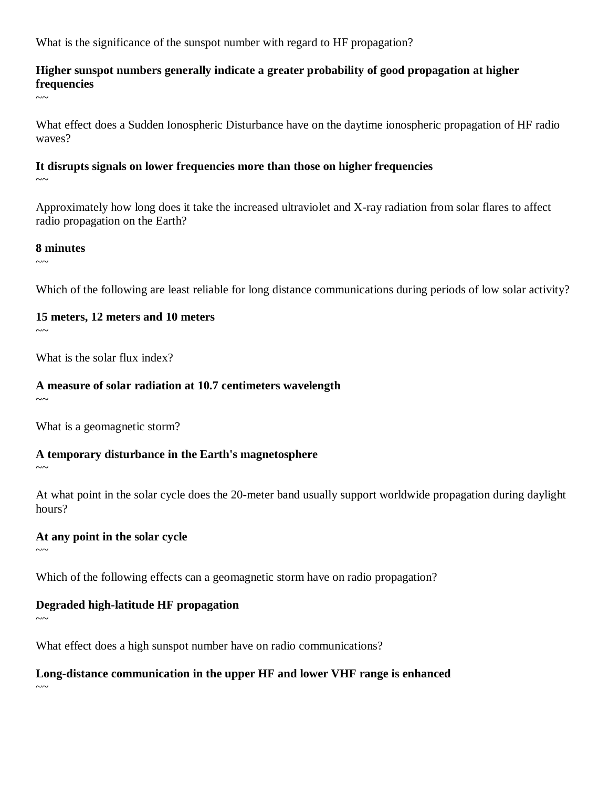What is the significance of the sunspot number with regard to HF propagation?

## **Higher sunspot numbers generally indicate a greater probability of good propagation at higher frequencies**

 $\sim$   $\sim$ 

What effect does a Sudden Ionospheric Disturbance have on the daytime ionospheric propagation of HF radio waves?

# **It disrupts signals on lower frequencies more than those on higher frequencies**

 $\sim$   $\sim$ 

Approximately how long does it take the increased ultraviolet and X-ray radiation from solar flares to affect radio propagation on the Earth?

## **8 minutes**

 $\sim$ ~

Which of the following are least reliable for long distance communications during periods of low solar activity?

## **15 meters, 12 meters and 10 meters**

 $\sim$  ~

What is the solar flux index?

## **A measure of solar radiation at 10.7 centimeters wavelength**

 $\sim$   $\sim$ 

What is a geomagnetic storm?

# **A temporary disturbance in the Earth's magnetosphere**

 $\sim\sim$ 

At what point in the solar cycle does the 20-meter band usually support worldwide propagation during daylight hours?

# **At any point in the solar cycle**

 $\sim$  ~

Which of the following effects can a geomagnetic storm have on radio propagation?

# **Degraded high-latitude HF propagation**

 $\sim$ 

What effect does a high sunspot number have on radio communications?

# **Long-distance communication in the upper HF and lower VHF range is enhanced**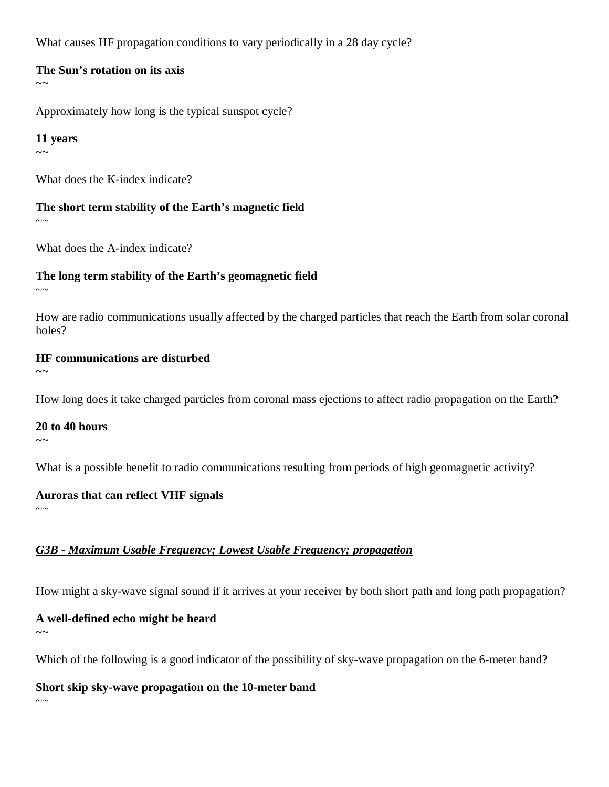What causes HF propagation conditions to vary periodically in a 28 day cycle?

#### **The Sun's rotation on its axis**

 $\sim$   $\sim$ 

Approximately how long is the typical sunspot cycle?

#### **11 years**

 $\sim$  ~

What does the K-index indicate?

**The short term stability of the Earth's magnetic field**  $\sim$   $\sim$ 

What does the A-index indicate?

## **The long term stability of the Earth's geomagnetic field**

 $\sim$   $\sim$ 

How are radio communications usually affected by the charged particles that reach the Earth from solar coronal holes?

## **HF communications are disturbed**

 $\sim$   $\sim$ 

How long does it take charged particles from coronal mass ejections to affect radio propagation on the Earth?

**20 to 40 hours**  $\sim$   $\sim$ 

What is a possible benefit to radio communications resulting from periods of high geomagnetic activity?

## **Auroras that can reflect VHF signals**

 $\sim$ 

# *G3B - Maximum Usable Frequency; Lowest Usable Frequency; propagation*

How might a sky-wave signal sound if it arrives at your receiver by both short path and long path propagation?

# **A well-defined echo might be heard**

 $\sim$ ~

 $\sim$ 

Which of the following is a good indicator of the possibility of sky-wave propagation on the 6-meter band?

**Short skip sky-wave propagation on the 10-meter band**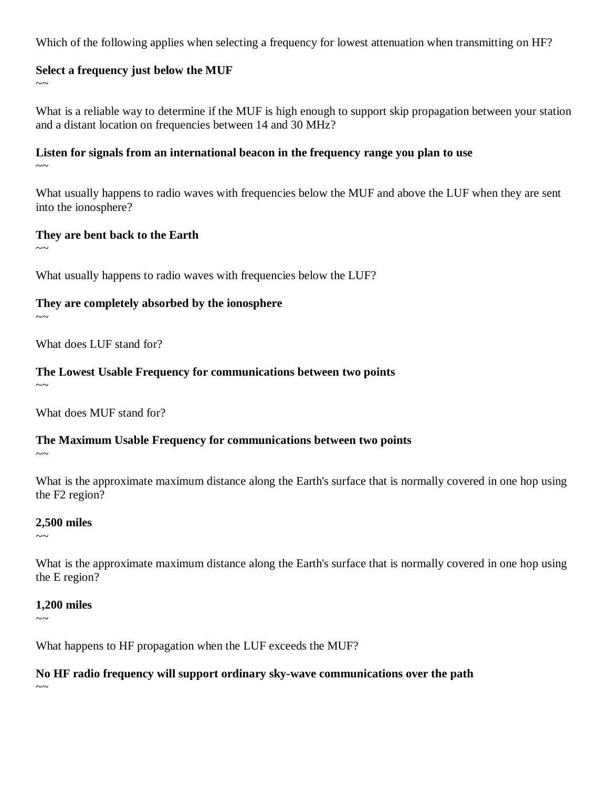Which of the following applies when selecting a frequency for lowest attenuation when transmitting on HF?

#### **Select a frequency just below the MUF**

 $\sim$   $\sim$ 

What is a reliable way to determine if the MUF is high enough to support skip propagation between your station and a distant location on frequencies between 14 and 30 MHz?

# **Listen for signals from an international beacon in the frequency range you plan to use**

 $\sim$ ~

What usually happens to radio waves with frequencies below the MUF and above the LUF when they are sent into the ionosphere?

#### **They are bent back to the Earth**

 $\sim$ ~

What usually happens to radio waves with frequencies below the LUF?

## **They are completely absorbed by the ionosphere**

 $\sim$ ~

What does LUF stand for?

# **The Lowest Usable Frequency for communications between two points**

 $\sim$   $\sim$ 

What does MUF stand for?

## **The Maximum Usable Frequency for communications between two points**

 $\sim$ 

What is the approximate maximum distance along the Earth's surface that is normally covered in one hop using the F2 region?

#### **2,500 miles**

 $\sim$   $\sim$ 

What is the approximate maximum distance along the Earth's surface that is normally covered in one hop using the E region?

## **1,200 miles**

 $\sim$ 

What happens to HF propagation when the LUF exceeds the MUF?

## **No HF radio frequency will support ordinary sky-wave communications over the path**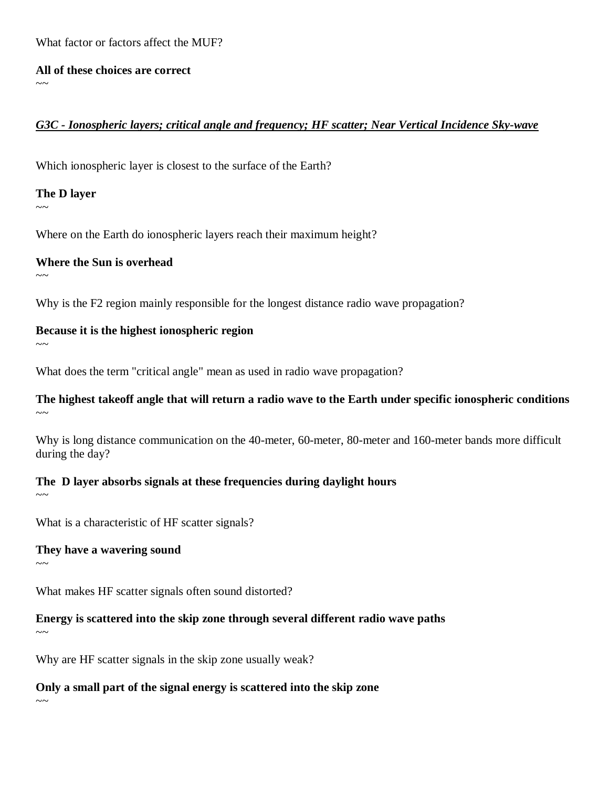What factor or factors affect the MUF?

**All of these choices are correct**

#### *G3C - Ionospheric layers; critical angle and frequency; HF scatter; Near Vertical Incidence Sky-wave*

Which ionospheric layer is closest to the surface of the Earth?

**The D layer**

 $\sim$ ~

 $\sim$   $\sim$ 

Where on the Earth do ionospheric layers reach their maximum height?

**Where the Sun is overhead**

 $\sim$ ~

Why is the F2 region mainly responsible for the longest distance radio wave propagation?

**Because it is the highest ionospheric region**

 $\sim$ 

 $\sim$  ~~

 $\sim$ 

 $\sim$ 

 $\sim$ 

What does the term "critical angle" mean as used in radio wave propagation?

#### **The highest takeoff angle that will return a radio wave to the Earth under specific ionospheric conditions**   $\sim$ ~

Why is long distance communication on the 40-meter, 60-meter, 80-meter and 160-meter bands more difficult during the day?

## **The D layer absorbs signals at these frequencies during daylight hours**

What is a characteristic of HF scatter signals?

**They have a wavering sound**

What makes HF scatter signals often sound distorted?

**Energy is scattered into the skip zone through several different radio wave paths**

Why are HF scatter signals in the skip zone usually weak?

**Only a small part of the signal energy is scattered into the skip zone**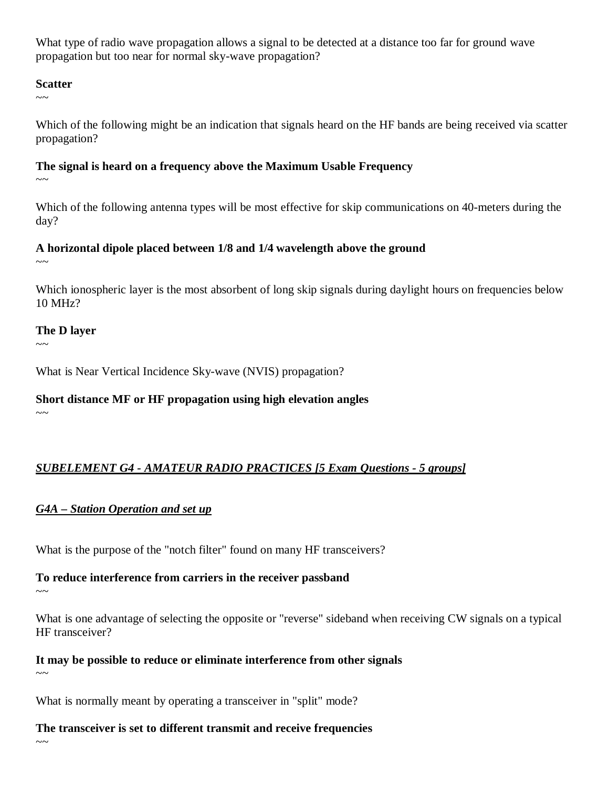What type of radio wave propagation allows a signal to be detected at a distance too far for ground wave propagation but too near for normal sky-wave propagation?

#### **Scatter**

 $\sim$   $\sim$ 

Which of the following might be an indication that signals heard on the HF bands are being received via scatter propagation?

## **The signal is heard on a frequency above the Maximum Usable Frequency**

 $\sim$   $\sim$ 

Which of the following antenna types will be most effective for skip communications on 40-meters during the day?

## **A horizontal dipole placed between 1/8 and 1/4 wavelength above the ground**

 $\sim$   $\sim$ 

Which ionospheric layer is the most absorbent of long skip signals during daylight hours on frequencies below 10 MHz?

## **The D layer**

 $\sim$ 

What is Near Vertical Incidence Sky-wave (NVIS) propagation?

## **Short distance MF or HF propagation using high elevation angles**

 $\sim$ ~

# *SUBELEMENT G4 - AMATEUR RADIO PRACTICES [5 Exam Questions - 5 groups]*

## *G4A – Station Operation and set up*

What is the purpose of the "notch filter" found on many HF transceivers?

## **To reduce interference from carriers in the receiver passband**

 $\sim$   $\sim$ 

What is one advantage of selecting the opposite or "reverse" sideband when receiving CW signals on a typical HF transceiver?

**It may be possible to reduce or eliminate interference from other signals**  $\sim$ 

What is normally meant by operating a transceiver in "split" mode?

## **The transceiver is set to different transmit and receive frequencies**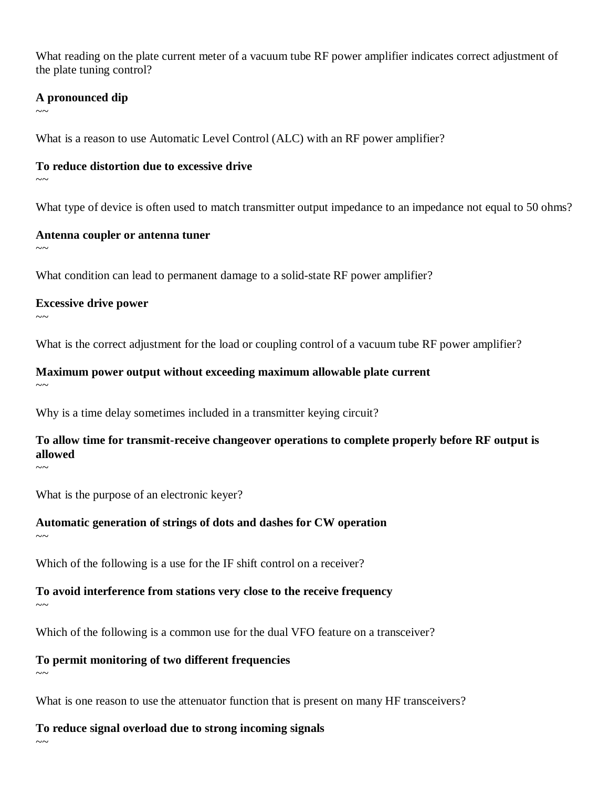What reading on the plate current meter of a vacuum tube RF power amplifier indicates correct adjustment of the plate tuning control?

#### **A pronounced dip**

 $\sim$ 

What is a reason to use Automatic Level Control (ALC) with an RF power amplifier?

#### **To reduce distortion due to excessive drive**

 $\sim$  ~

What type of device is often used to match transmitter output impedance to an impedance not equal to 50 ohms?

#### **Antenna coupler or antenna tuner**

 $\sim$   $\sim$ 

What condition can lead to permanent damage to a solid-state RF power amplifier?

#### **Excessive drive power**

 $\sim$   $\sim$ 

 $\sim$ ~

What is the correct adjustment for the load or coupling control of a vacuum tube RF power amplifier?

**Maximum power output without exceeding maximum allowable plate current**  $\sim$ 

Why is a time delay sometimes included in a transmitter keying circuit?

**To allow time for transmit-receive changeover operations to complete properly before RF output is allowed**

What is the purpose of an electronic keyer?

**Automatic generation of strings of dots and dashes for CW operation**   $\sim$  ~

Which of the following is a use for the IF shift control on a receiver?

**To avoid interference from stations very close to the receive frequency**

Which of the following is a common use for the dual VFO feature on a transceiver?

## **To permit monitoring of two different frequencies**

 $\sim$   $\sim$ 

 $\sim\sim$ 

What is one reason to use the attenuator function that is present on many HF transceivers?

## **To reduce signal overload due to strong incoming signals**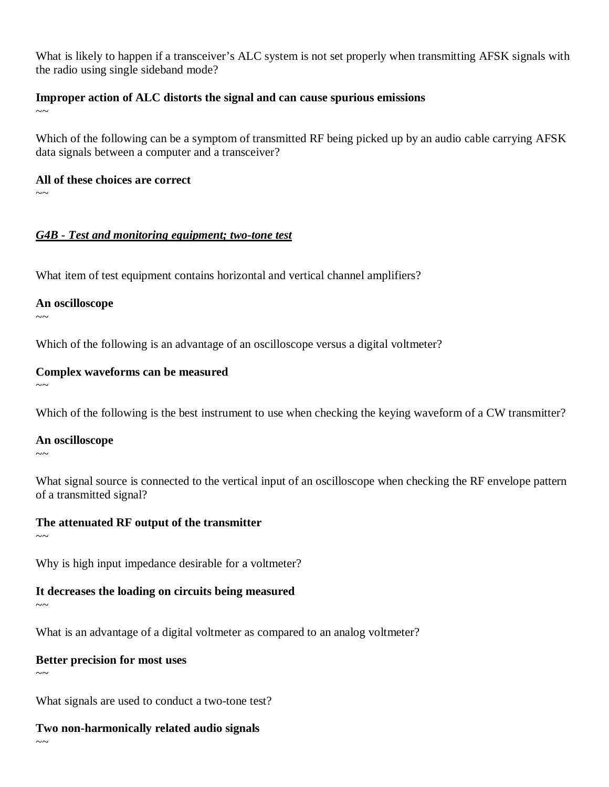What is likely to happen if a transceiver's ALC system is not set properly when transmitting AFSK signals with the radio using single sideband mode?

#### **Improper action of ALC distorts the signal and can cause spurious emissions**

 $\sim$ ~

Which of the following can be a symptom of transmitted RF being picked up by an audio cable carrying AFSK data signals between a computer and a transceiver?

**All of these choices are correct**

 $\sim$   $\sim$ 

## *G4B - Test and monitoring equipment; two-tone test*

What item of test equipment contains horizontal and vertical channel amplifiers?

**An oscilloscope**

 $\sim$   $\sim$ 

Which of the following is an advantage of an oscilloscope versus a digital voltmeter?

## **Complex waveforms can be measured**

 $\sim$ ~

 $\sim$ ~

Which of the following is the best instrument to use when checking the keying waveform of a CW transmitter?

**An oscilloscope**

What signal source is connected to the vertical input of an oscilloscope when checking the RF envelope pattern of a transmitted signal?

# **The attenuated RF output of the transmitter**

 $\sim$  ~

 $\sim\sim$ 

Why is high input impedance desirable for a voltmeter?

## **It decreases the loading on circuits being measured**

What is an advantage of a digital voltmeter as compared to an analog voltmeter?

## **Better precision for most uses**

 $\sim$   $\sim$ 

What signals are used to conduct a two-tone test?

# **Two non-harmonically related audio signals**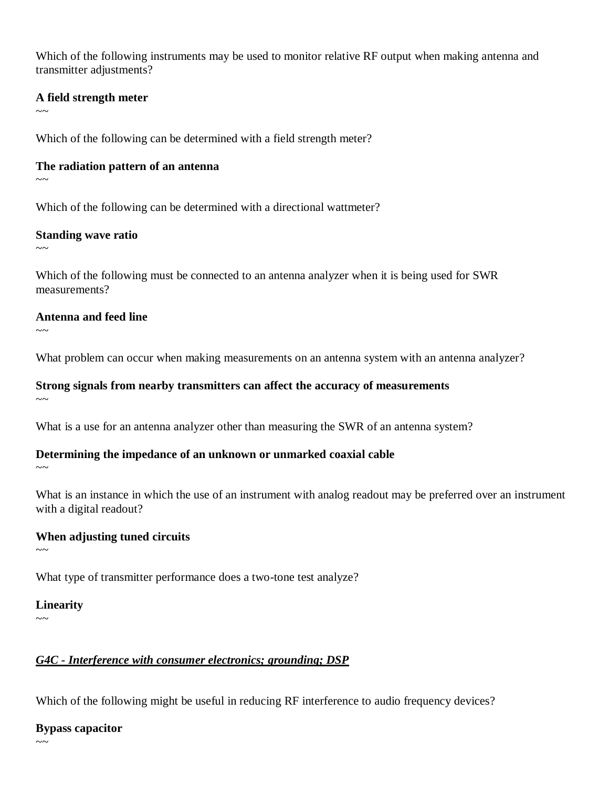Which of the following instruments may be used to monitor relative RF output when making antenna and transmitter adjustments?

#### **A field strength meter**

 $\sim$ 

Which of the following can be determined with a field strength meter?

#### **The radiation pattern of an antenna**

 $\sim$  ~

Which of the following can be determined with a directional wattmeter?

#### **Standing wave ratio**

 $\sim$ 

Which of the following must be connected to an antenna analyzer when it is being used for SWR measurements?

#### **Antenna and feed line**

 $\sim$   $\sim$ 

What problem can occur when making measurements on an antenna system with an antenna analyzer?

#### **Strong signals from nearby transmitters can affect the accuracy of measurements**

 $\sim$ 

What is a use for an antenna analyzer other than measuring the SWR of an antenna system?

## **Determining the impedance of an unknown or unmarked coaxial cable**

 $\sim$   $\sim$ 

What is an instance in which the use of an instrument with analog readout may be preferred over an instrument with a digital readout?

## **When adjusting tuned circuits**

 $\sim$   $\sim$ 

What type of transmitter performance does a two-tone test analyze?

#### **Linearity**

 $\sim$ 

## *G4C - Interference with consumer electronics; grounding; DSP*

Which of the following might be useful in reducing RF interference to audio frequency devices?

#### **Bypass capacitor**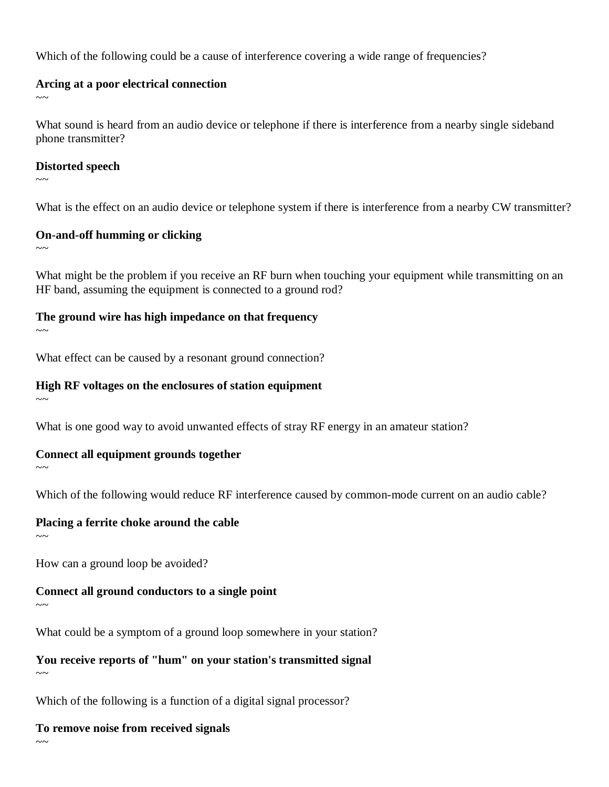Which of the following could be a cause of interference covering a wide range of frequencies?

#### **Arcing at a poor electrical connection**

 $\sim$  ~

What sound is heard from an audio device or telephone if there is interference from a nearby single sideband phone transmitter?

#### **Distorted speech**

 $\sim$  ~~

What is the effect on an audio device or telephone system if there is interference from a nearby CW transmitter?

#### **On-and-off humming or clicking**

 $\sim\sim$ 

What might be the problem if you receive an RF burn when touching your equipment while transmitting on an HF band, assuming the equipment is connected to a ground rod?

## **The ground wire has high impedance on that frequency**

 $\sim$   $\sim$ 

What effect can be caused by a resonant ground connection?

## **High RF voltages on the enclosures of station equipment**

 $\sim$ 

What is one good way to avoid unwanted effects of stray RF energy in an amateur station?

## **Connect all equipment grounds together**

 $\sim$ ~

Which of the following would reduce RF interference caused by common-mode current on an audio cable?

## **Placing a ferrite choke around the cable**

 $\sim$  ~

How can a ground loop be avoided?

## **Connect all ground conductors to a single point**

 $\sim\sim$ 

What could be a symptom of a ground loop somewhere in your station?

# **You receive reports of "hum" on your station's transmitted signal**

 $\sim$ 

Which of the following is a function of a digital signal processor?

# **To remove noise from received signals**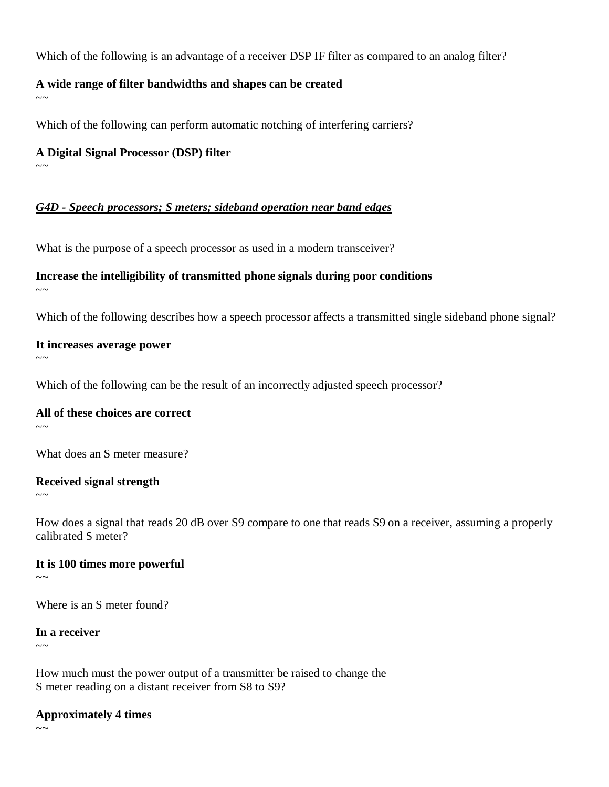Which of the following is an advantage of a receiver DSP IF filter as compared to an analog filter?

#### **A wide range of filter bandwidths and shapes can be created**

 $\sim$ 

Which of the following can perform automatic notching of interfering carriers?

#### **A Digital Signal Processor (DSP) filter**

 $\sim$ 

## *G4D - Speech processors; S meters; sideband operation near band edges*

What is the purpose of a speech processor as used in a modern transceiver?

## **Increase the intelligibility of transmitted phone signals during poor conditions**

 $\sim\sim$ 

Which of the following describes how a speech processor affects a transmitted single sideband phone signal?

#### **It increases average power**

 $\sim$  ~~

Which of the following can be the result of an incorrectly adjusted speech processor?

## **All of these choices are correct**

 $\sim$ 

What does an S meter measure?

#### **Received signal strength**

 $\sim\sim$ 

How does a signal that reads 20 dB over S9 compare to one that reads S9 on a receiver, assuming a properly calibrated S meter?

## **It is 100 times more powerful**

 $\sim$   $\sim$ 

Where is an S meter found?

#### **In a receiver**

 $\sim$ 

How much must the power output of a transmitter be raised to change the S meter reading on a distant receiver from S8 to S9?

## **Approximately 4 times**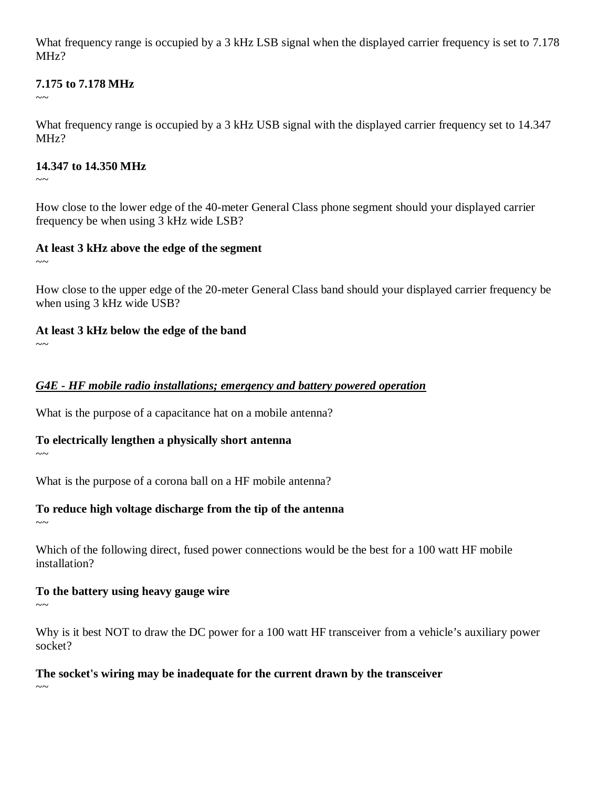What frequency range is occupied by a 3 kHz LSB signal when the displayed carrier frequency is set to 7.178 MHz?

#### **7.175 to 7.178 MHz**

 $\sim$ 

What frequency range is occupied by a 3 kHz USB signal with the displayed carrier frequency set to 14.347 MH<sub>z</sub>?

#### **14.347 to 14.350 MHz**

 $\sim$   $\sim$ 

How close to the lower edge of the 40-meter General Class phone segment should your displayed carrier frequency be when using 3 kHz wide LSB?

## **At least 3 kHz above the edge of the segment**

 $\sim$  ~

How close to the upper edge of the 20-meter General Class band should your displayed carrier frequency be when using 3 kHz wide USB?

## **At least 3 kHz below the edge of the band**

 $\sim$ 

## *G4E - HF mobile radio installations; emergency and battery powered operation*

What is the purpose of a capacitance hat on a mobile antenna?

## **To electrically lengthen a physically short antenna**

 $\sim$ ~

What is the purpose of a corona ball on a HF mobile antenna?

## **To reduce high voltage discharge from the tip of the antenna**

 $\sim$ ~

Which of the following direct, fused power connections would be the best for a 100 watt HF mobile installation?

# **To the battery using heavy gauge wire**

 $\sim\sim$ 

Why is it best NOT to draw the DC power for a 100 watt HF transceiver from a vehicle's auxiliary power socket?

## **The socket's wiring may be inadequate for the current drawn by the transceiver**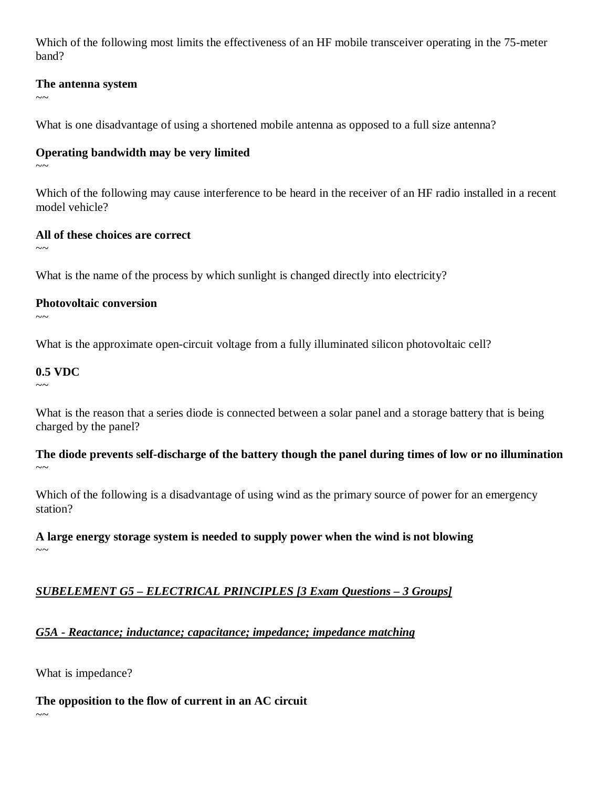Which of the following most limits the effectiveness of an HF mobile transceiver operating in the 75-meter band?

#### **The antenna system**

 $\sim$ 

What is one disadvantage of using a shortened mobile antenna as opposed to a full size antenna?

#### **Operating bandwidth may be very limited**

 $\sim$ ~

Which of the following may cause interference to be heard in the receiver of an HF radio installed in a recent model vehicle?

#### **All of these choices are correct**

 $\sim\sim$ 

What is the name of the process by which sunlight is changed directly into electricity?

#### **Photovoltaic conversion**

 $\sim\sim$ 

What is the approximate open-circuit voltage from a fully illuminated silicon photovoltaic cell?

#### **0.5 VDC**

 $\sim$ ~

What is the reason that a series diode is connected between a solar panel and a storage battery that is being charged by the panel?

**The diode prevents self-discharge of the battery though the panel during times of low or no illumination**  $\sim$   $\sim$ 

Which of the following is a disadvantage of using wind as the primary source of power for an emergency station?

#### **A large energy storage system is needed to supply power when the wind is not blowing**  $\sim$   $\sim$

## *SUBELEMENT G5 – ELECTRICAL PRINCIPLES [3 Exam Questions – 3 Groups]*

# *G5A - Reactance; inductance; capacitance; impedance; impedance matching*

What is impedance?

**The opposition to the flow of current in an AC circuit**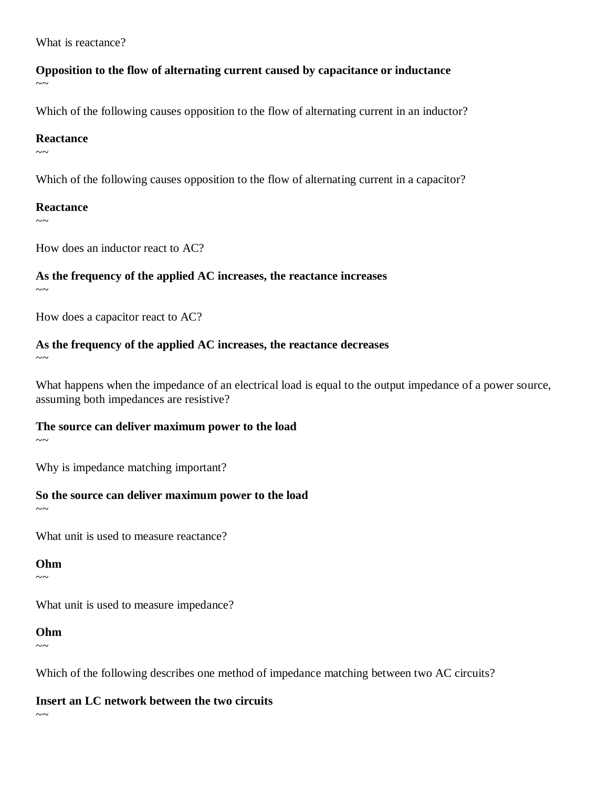What is reactance?

#### **Opposition to the flow of alternating current caused by capacitance or inductance**  $\sim$   $\sim$

Which of the following causes opposition to the flow of alternating current in an inductor?

#### **Reactance**

 $\sim$ ~

Which of the following causes opposition to the flow of alternating current in a capacitor?

#### **Reactance**

 $\sim$ 

How does an inductor react to AC?

#### **As the frequency of the applied AC increases, the reactance increases**

 $\sim\sim$ 

How does a capacitor react to AC?

# **As the frequency of the applied AC increases, the reactance decreases**

 $\sim\sim$ 

What happens when the impedance of an electrical load is equal to the output impedance of a power source, assuming both impedances are resistive?

#### **The source can deliver maximum power to the load**

 $\sim$ ~

Why is impedance matching important?

#### **So the source can deliver maximum power to the load**

 $\sim$ ~

What unit is used to measure reactance?

#### **Ohm**

 $\sim$  ~~

What unit is used to measure impedance?

#### **Ohm**

 $\sim$ ~

Which of the following describes one method of impedance matching between two AC circuits?

**Insert an LC network between the two circuits**

 $\sim$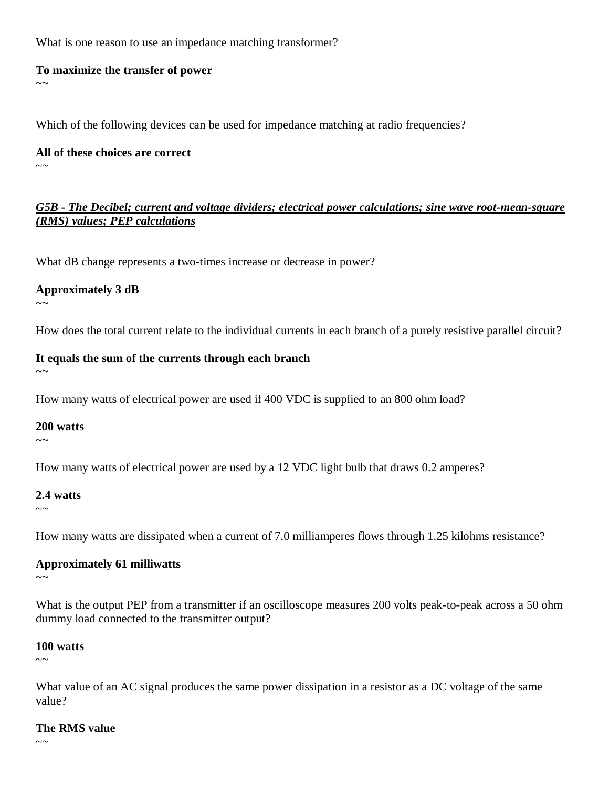What is one reason to use an impedance matching transformer?

#### **To maximize the transfer of power**

 $\sim$   $\sim$ 

Which of the following devices can be used for impedance matching at radio frequencies?

**All of these choices are correct**

 $\sim$ 

 $\sim$  ~

 $\sim$   $\sim$ 

 $\sim$   $\sim$ 

#### *G5B - The Decibel; current and voltage dividers; electrical power calculations; sine wave root-mean-square (RMS) values; PEP calculations*

What dB change represents a two-times increase or decrease in power?

#### **Approximately 3 dB**

How does the total current relate to the individual currents in each branch of a purely resistive parallel circuit?

#### **It equals the sum of the currents through each branch**

How many watts of electrical power are used if 400 VDC is supplied to an 800 ohm load?

#### **200 watts**

How many watts of electrical power are used by a 12 VDC light bulb that draws 0.2 amperes?

#### **2.4 watts**

 $\sim$   $\sim$ 

How many watts are dissipated when a current of 7.0 milliamperes flows through 1.25 kilohms resistance?

#### **Approximately 61 milliwatts**

 $\sim$   $\sim$ 

What is the output PEP from a transmitter if an oscilloscope measures 200 volts peak-to-peak across a 50 ohm dummy load connected to the transmitter output?

#### **100 watts**

 $\sim$ 

What value of an AC signal produces the same power dissipation in a resistor as a DC voltage of the same value?

#### **The RMS value**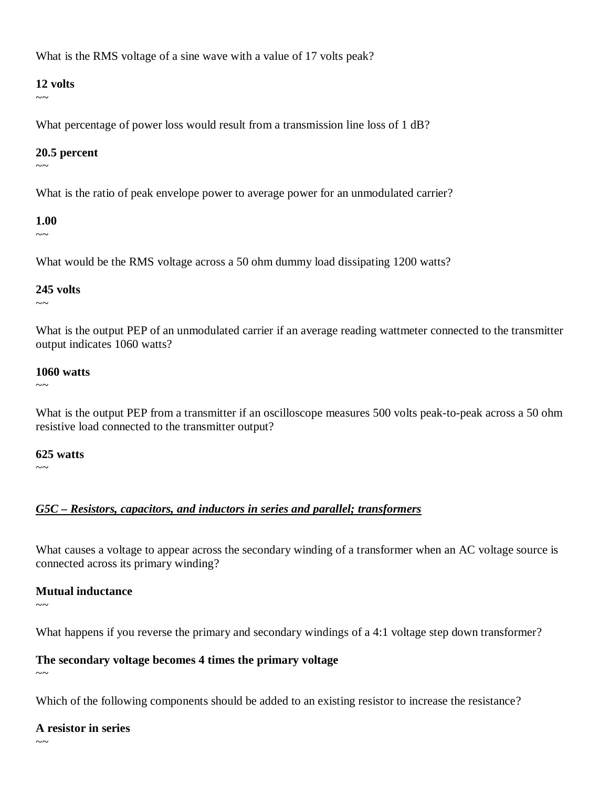What is the RMS voltage of a sine wave with a value of 17 volts peak?

#### **12 volts**

 $\sim$ 

What percentage of power loss would result from a transmission line loss of 1 dB?

#### **20.5 percent**

 $\sim$ ~

What is the ratio of peak envelope power to average power for an unmodulated carrier?

#### **1.00**

 $\sim$ 

What would be the RMS voltage across a 50 ohm dummy load dissipating 1200 watts?

#### **245 volts**

 $\sim$   $\sim$ 

What is the output PEP of an unmodulated carrier if an average reading wattmeter connected to the transmitter output indicates 1060 watts?

#### **1060 watts**

 $\sim$ ~

What is the output PEP from a transmitter if an oscilloscope measures 500 volts peak-to-peak across a 50 ohm resistive load connected to the transmitter output?

## **625 watts**

 $\sim$ ~

## *G5C – Resistors, capacitors, and inductors in series and parallel; transformers*

What causes a voltage to appear across the secondary winding of a transformer when an AC voltage source is connected across its primary winding?

## **Mutual inductance**

 $\sim$ ~

What happens if you reverse the primary and secondary windings of a 4:1 voltage step down transformer?

## **The secondary voltage becomes 4 times the primary voltage**

 $\sim$ 

Which of the following components should be added to an existing resistor to increase the resistance?

## **A resistor in series**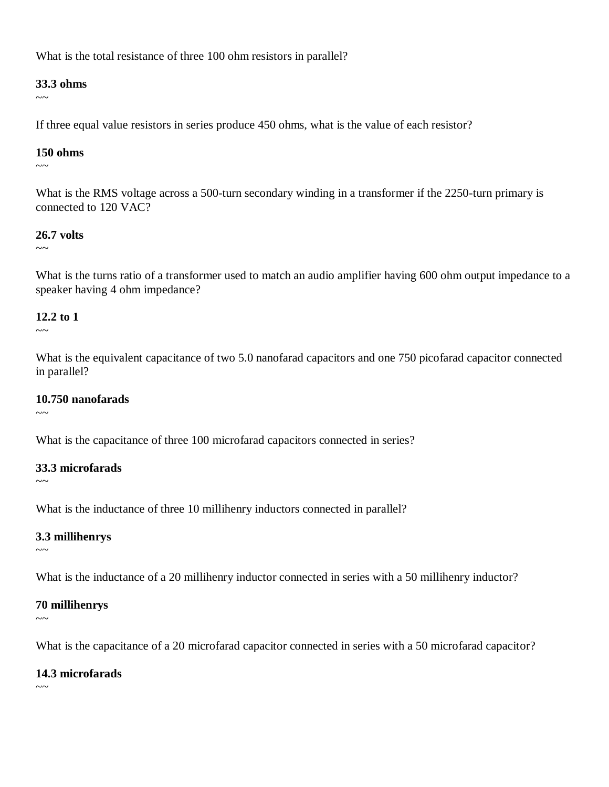What is the total resistance of three 100 ohm resistors in parallel?

#### **33.3 ohms**

 $\sim$ 

If three equal value resistors in series produce 450 ohms, what is the value of each resistor?

#### **150 ohms**

 $\sim$ 

What is the RMS voltage across a 500-turn secondary winding in a transformer if the 2250-turn primary is connected to 120 VAC?

#### **26.7 volts**

 $\sim$ 

What is the turns ratio of a transformer used to match an audio amplifier having 600 ohm output impedance to a speaker having 4 ohm impedance?

#### **12.2 to 1**

 $\sim$   $\sim$ 

What is the equivalent capacitance of two 5.0 nanofarad capacitors and one 750 picofarad capacitor connected in parallel?

#### **10.750 nanofarads**

 $\sim$ ~

What is the capacitance of three 100 microfarad capacitors connected in series?

#### **33.3 microfarads**

 $\sim$ 

What is the inductance of three 10 millihenry inductors connected in parallel?

#### **3.3 millihenrys**

 $\sim$   $\sim$ 

What is the inductance of a 20 millihenry inductor connected in series with a 50 millihenry inductor?

#### **70 millihenrys**

 $\sim$ 

What is the capacitance of a 20 microfarad capacitor connected in series with a 50 microfarad capacitor?

#### **14.3 microfarads**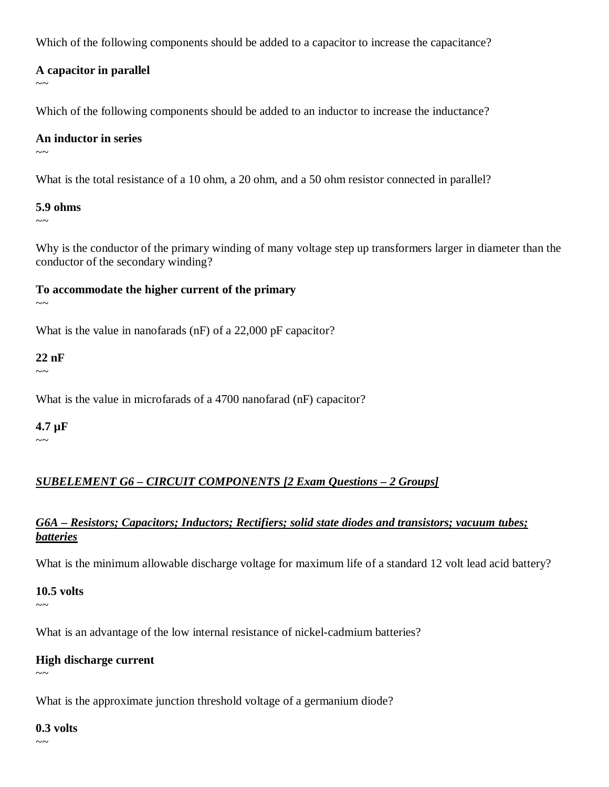Which of the following components should be added to a capacitor to increase the capacitance?

#### **A capacitor in parallel**

 $\sim$   $\sim$ 

Which of the following components should be added to an inductor to increase the inductance?

#### **An inductor in series**

 $\sim$ ~

What is the total resistance of a 10 ohm, a 20 ohm, and a 50 ohm resistor connected in parallel?

#### **5.9 ohms**

 $\sim$ ~

Why is the conductor of the primary winding of many voltage step up transformers larger in diameter than the conductor of the secondary winding?

**To accommodate the higher current of the primary**  $\sim$  ~

What is the value in nanofarads (nF) of a 22,000 pF capacitor?

#### **22 nF**

 $\sim$   $\sim$ 

What is the value in microfarads of a 4700 nanofarad (nF) capacitor?

## **4.7 µF**

 $\sim$ ~

## *SUBELEMENT G6 – CIRCUIT COMPONENTS [2 Exam Questions – 2 Groups]*

#### *G6A – Resistors; Capacitors; Inductors; Rectifiers; solid state diodes and transistors; vacuum tubes; batteries*

What is the minimum allowable discharge voltage for maximum life of a standard 12 volt lead acid battery?

#### **10.5 volts**

 $\sim\sim$ 

What is an advantage of the low internal resistance of nickel-cadmium batteries?

#### **High discharge current**

 $\sim$   $\sim$ 

What is the approximate junction threshold voltage of a germanium diode?

#### **0.3 volts**

 $\sim$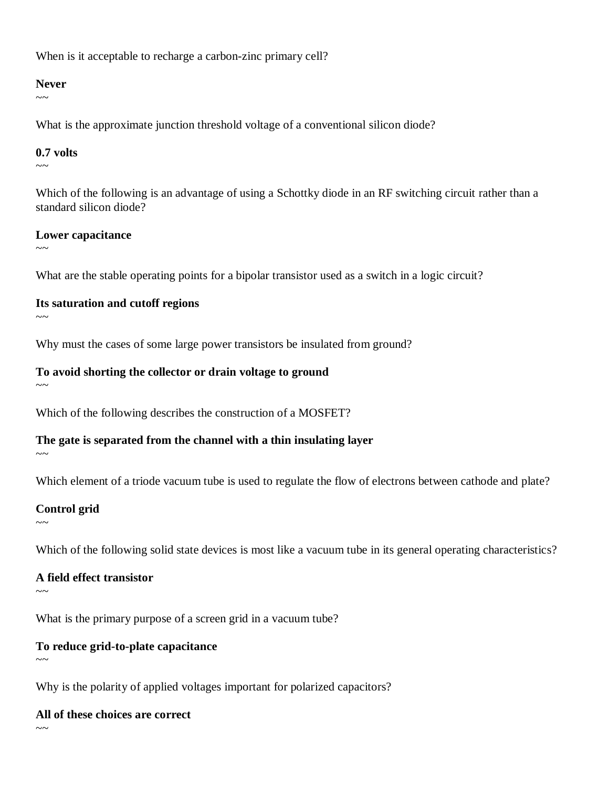When is it acceptable to recharge a carbon-zinc primary cell?

#### **Never**

 $\sim$   $\sim$ 

What is the approximate junction threshold voltage of a conventional silicon diode?

#### **0.7 volts**

 $\sim$ 

Which of the following is an advantage of using a Schottky diode in an RF switching circuit rather than a standard silicon diode?

#### **Lower capacitance**

 $\sim$   $\sim$ 

What are the stable operating points for a bipolar transistor used as a switch in a logic circuit?

## **Its saturation and cutoff regions**

 $\sim$ ~

Why must the cases of some large power transistors be insulated from ground?

#### **To avoid shorting the collector or drain voltage to ground**

 $\sim$ ~

Which of the following describes the construction of a MOSFET?

## **The gate is separated from the channel with a thin insulating layer**

 $\sim$ ~

 $\sim$ ~

Which element of a triode vacuum tube is used to regulate the flow of electrons between cathode and plate?

## **Control grid**

Which of the following solid state devices is most like a vacuum tube in its general operating characteristics?

## **A field effect transistor**

 $\sim$   $\sim$ 

What is the primary purpose of a screen grid in a vacuum tube?

# **To reduce grid-to-plate capacitance**

 $\sim$ 

Why is the polarity of applied voltages important for polarized capacitors?

#### **All of these choices are correct**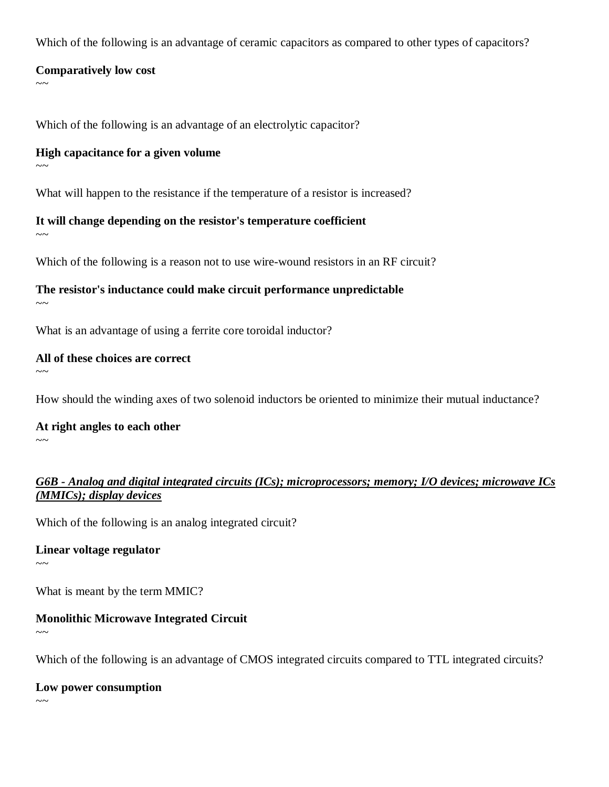Which of the following is an advantage of ceramic capacitors as compared to other types of capacitors?

#### **Comparatively low cost**

Which of the following is an advantage of an electrolytic capacitor?

#### **High capacitance for a given volume**

 $\sim$ ~

 $\sim$   $\sim$ 

What will happen to the resistance if the temperature of a resistor is increased?

#### **It will change depending on the resistor's temperature coefficient**

 $\sim$ ~

Which of the following is a reason not to use wire-wound resistors in an RF circuit?

**The resistor's inductance could make circuit performance unpredictable**  $\sim$ 

What is an advantage of using a ferrite core toroidal inductor?

#### **All of these choices are correct**

How should the winding axes of two solenoid inductors be oriented to minimize their mutual inductance?

**At right angles to each other**

 $\sim$ ~

 $\sim$ ~

#### *G6B - Analog and digital integrated circuits (ICs); microprocessors; memory; I/O devices; microwave ICs (MMICs); display devices*

Which of the following is an analog integrated circuit?

#### **Linear voltage regulator**

 $\sim$   $\sim$ 

What is meant by the term MMIC?

## **Monolithic Microwave Integrated Circuit**

Which of the following is an advantage of CMOS integrated circuits compared to TTL integrated circuits?

**Low power consumption**

 $\sim$   $\sim$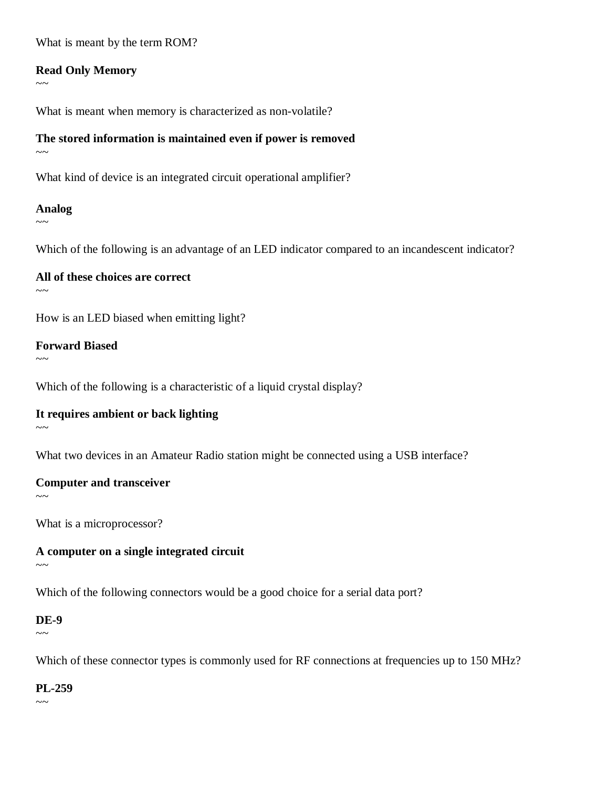What is meant by the term ROM?

#### **Read Only Memory**

 $\sim$   $\sim$ 

What is meant when memory is characterized as non-volatile?

## **The stored information is maintained even if power is removed**

 $\sim$ ~

What kind of device is an integrated circuit operational amplifier?

#### **Analog**

 $\sim$ 

Which of the following is an advantage of an LED indicator compared to an incandescent indicator?

# **All of these choices are correct**

 $\sim$ 

How is an LED biased when emitting light?

#### **Forward Biased**

 $\sim$ ~

Which of the following is a characteristic of a liquid crystal display?

## **It requires ambient or back lighting**

 $\sim$   $\sim$ 

What two devices in an Amateur Radio station might be connected using a USB interface?

## **Computer and transceiver**

 $\sim$ 

What is a microprocessor?

#### **A computer on a single integrated circuit**  $\sim$ ~

Which of the following connectors would be a good choice for a serial data port?

## **DE-9**

 $\sim \sim$ 

Which of these connector types is commonly used for RF connections at frequencies up to 150 MHz?

#### **PL-259**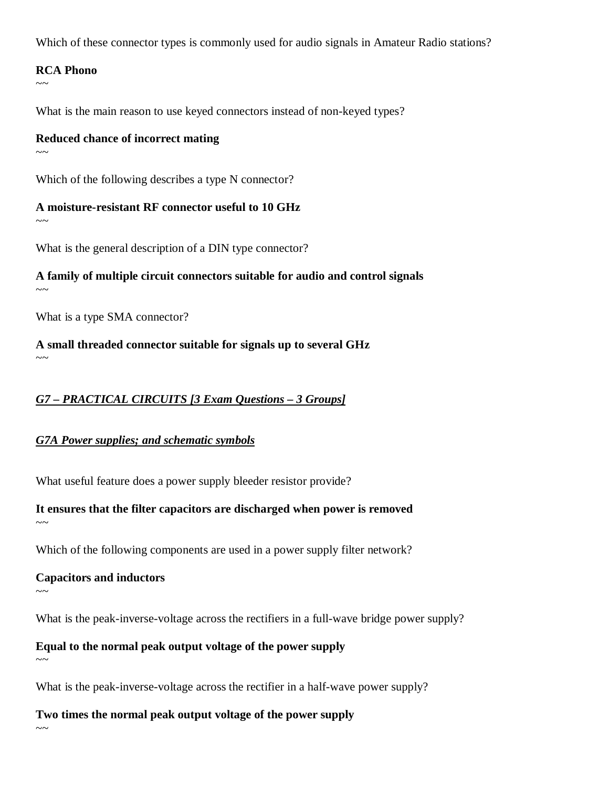Which of these connector types is commonly used for audio signals in Amateur Radio stations?

#### **RCA Phono**

 $\sim$   $\sim$ 

What is the main reason to use keyed connectors instead of non-keyed types?

#### **Reduced chance of incorrect mating**

 $\sim$   $\sim$ 

Which of the following describes a type N connector?

**A moisture-resistant RF connector useful to 10 GHz**  $\sim$   $\sim$ 

What is the general description of a DIN type connector?

# **A family of multiple circuit connectors suitable for audio and control signals**

 $\sim$   $\sim$ 

What is a type SMA connector?

#### **A small threaded connector suitable for signals up to several GHz**  $\sim$   $\sim$

## *G7 – PRACTICAL CIRCUITS [3 Exam Questions – 3 Groups]*

## *G7A Power supplies; and schematic symbols*

What useful feature does a power supply bleeder resistor provide?

**It ensures that the filter capacitors are discharged when power is removed**

Which of the following components are used in a power supply filter network?

#### **Capacitors and inductors**

 $\sim$ ~

 $\sim$ ~

What is the peak-inverse-voltage across the rectifiers in a full-wave bridge power supply?

**Equal to the normal peak output voltage of the power supply**  $\sim$ 

What is the peak-inverse-voltage across the rectifier in a half-wave power supply?

**Two times the normal peak output voltage of the power supply**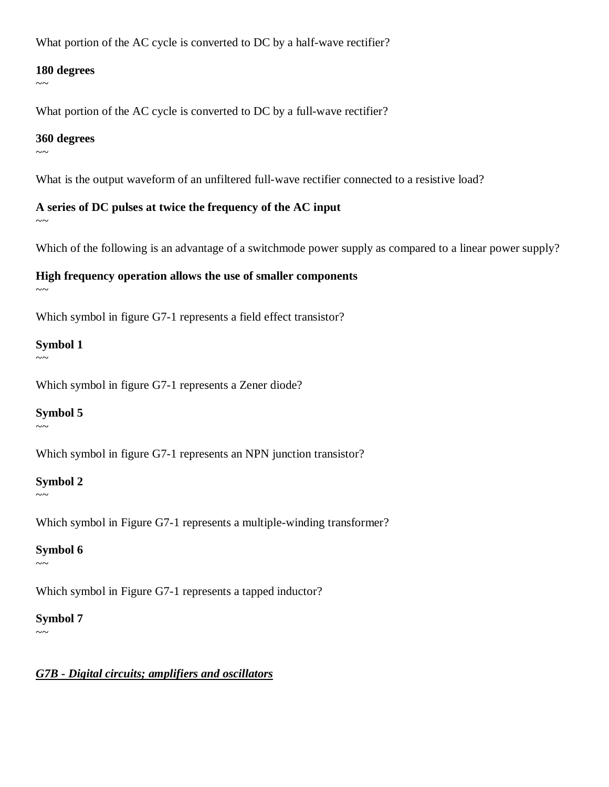What portion of the AC cycle is converted to DC by a half-wave rectifier?

#### **180 degrees**

 $\sim$  ~

What portion of the AC cycle is converted to DC by a full-wave rectifier?

#### **360 degrees**

 $\sim\sim$ 

What is the output waveform of an unfiltered full-wave rectifier connected to a resistive load?

**A series of DC pulses at twice the frequency of the AC input**  $\sim$   $\sim$ 

Which of the following is an advantage of a switchmode power supply as compared to a linear power supply?

## **High frequency operation allows the use of smaller components**

 $\sim$   $\sim$ 

Which symbol in figure G7-1 represents a field effect transistor?

## **Symbol 1**

 $\sim\sim$ 

Which symbol in figure G7-1 represents a Zener diode?

## **Symbol 5**

 $\sim\sim$ 

Which symbol in figure G7-1 represents an NPN junction transistor?

## **Symbol 2**

 $\sim\sim$ 

Which symbol in Figure G7-1 represents a multiple-winding transformer?

## **Symbol 6**

Which symbol in Figure G7-1 represents a tapped inductor?

## **Symbol 7**

 $\sim$ ~

 $\sim\sim$ 

## *G7B - Digital circuits; amplifiers and oscillators*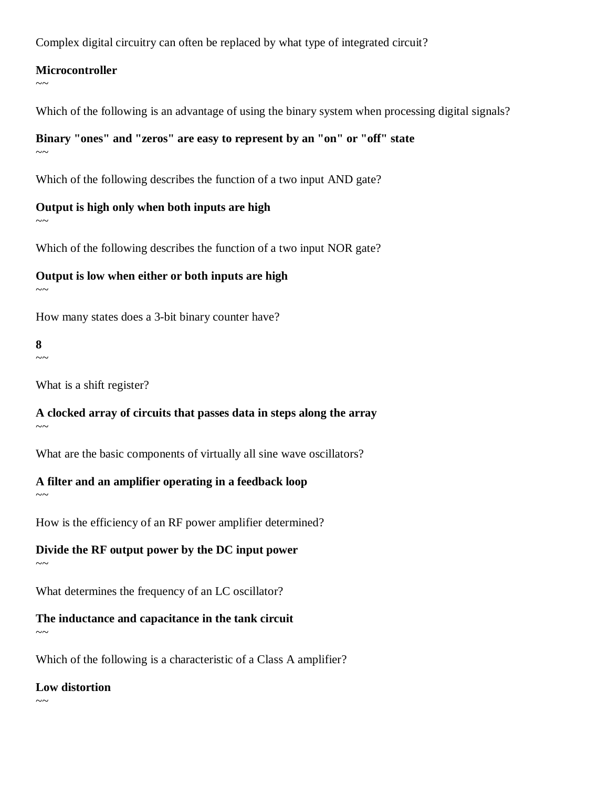Complex digital circuitry can often be replaced by what type of integrated circuit?

#### **Microcontroller**

Which of the following is an advantage of using the binary system when processing digital signals?

# **Binary "ones" and "zeros" are easy to represent by an "on" or "off" state**

 $\sim$   $\sim$ 

 $\sim$   $\sim$ 

Which of the following describes the function of a two input AND gate?

**Output is high only when both inputs are high**  $\sim$   $\sim$ 

Which of the following describes the function of a two input NOR gate?

## **Output is low when either or both inputs are high**

 $\sim$   $\sim$ 

How many states does a 3-bit binary counter have?

# **8**

 $\sim$  ~

 $\sim\sim$ 

What is a shift register?

**A clocked array of circuits that passes data in steps along the array**  $\sim$   $\sim$ 

What are the basic components of virtually all sine wave oscillators?

## **A filter and an amplifier operating in a feedback loop**

How is the efficiency of an RF power amplifier determined?

**Divide the RF output power by the DC input power**  $\sim$ 

What determines the frequency of an LC oscillator?

**The inductance and capacitance in the tank circuit**  $\sim$ ~

Which of the following is a characteristic of a Class A amplifier?

## **Low distortion**

 $\sim$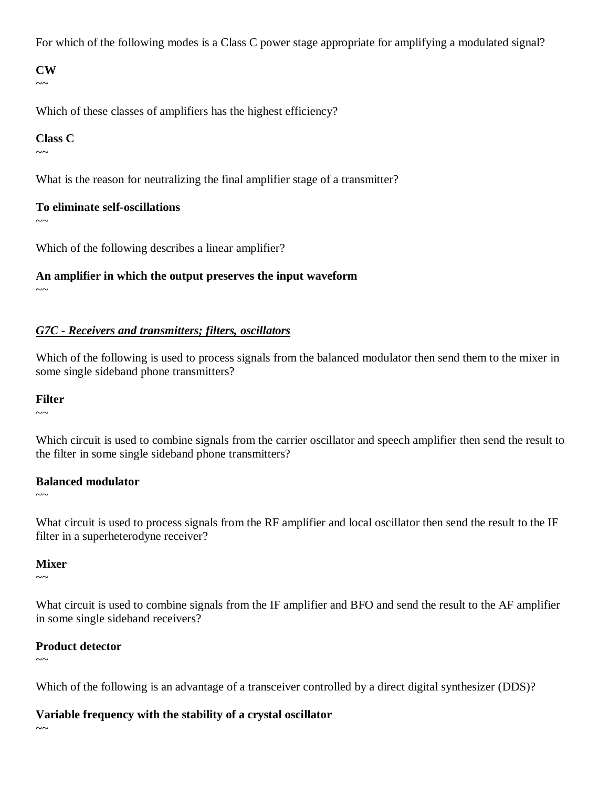For which of the following modes is a Class C power stage appropriate for amplifying a modulated signal?

**CW**  $\sim$ 

Which of these classes of amplifiers has the highest efficiency?

#### **Class C**

 $\sim\sim$ 

What is the reason for neutralizing the final amplifier stage of a transmitter?

#### **To eliminate self-oscillations**

 $\sim$   $\sim$ 

Which of the following describes a linear amplifier?

## **An amplifier in which the output preserves the input waveform**

 $\sim\sim$ 

#### *G7C - Receivers and transmitters; filters, oscillators*

Which of the following is used to process signals from the balanced modulator then send them to the mixer in some single sideband phone transmitters?

#### **Filter**

 $\sim$ ~

Which circuit is used to combine signals from the carrier oscillator and speech amplifier then send the result to the filter in some single sideband phone transmitters?

#### **Balanced modulator**

 $\sim$  ~~

What circuit is used to process signals from the RF amplifier and local oscillator then send the result to the IF filter in a superheterodyne receiver?

#### **Mixer**

 $\sim$  ~

What circuit is used to combine signals from the IF amplifier and BFO and send the result to the AF amplifier in some single sideband receivers?

#### **Product detector**

 $\sim$   $\sim$ 

Which of the following is an advantage of a transceiver controlled by a direct digital synthesizer (DDS)?

#### **Variable frequency with the stability of a crystal oscillator**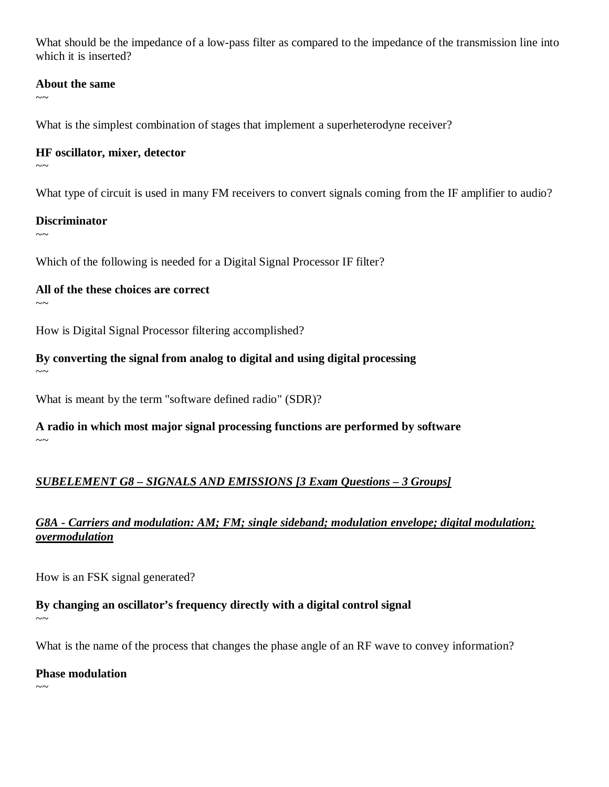What should be the impedance of a low-pass filter as compared to the impedance of the transmission line into which it is inserted?

#### **About the same**

 $\sim$ 

What is the simplest combination of stages that implement a superheterodyne receiver?

#### **HF oscillator, mixer, detector**

 $\sim$ ~

What type of circuit is used in many FM receivers to convert signals coming from the IF amplifier to audio?

#### **Discriminator**

 $\sim$ ~

Which of the following is needed for a Digital Signal Processor IF filter?

**All of the these choices are correct**

 $\sim$  ~

 $\sim$   $\sim$ 

How is Digital Signal Processor filtering accomplished?

**By converting the signal from analog to digital and using digital processing**

What is meant by the term "software defined radio" (SDR)?

**A radio in which most major signal processing functions are performed by software**  $\sim$ ~

## *SUBELEMENT G8 – SIGNALS AND EMISSIONS [3 Exam Questions – 3 Groups]*

## *G8A - Carriers and modulation: AM; FM; single sideband; modulation envelope; digital modulation; overmodulation*

How is an FSK signal generated?

#### **By changing an oscillator's frequency directly with a digital control signal**  $\sim$

What is the name of the process that changes the phase angle of an RF wave to convey information?

#### **Phase modulation**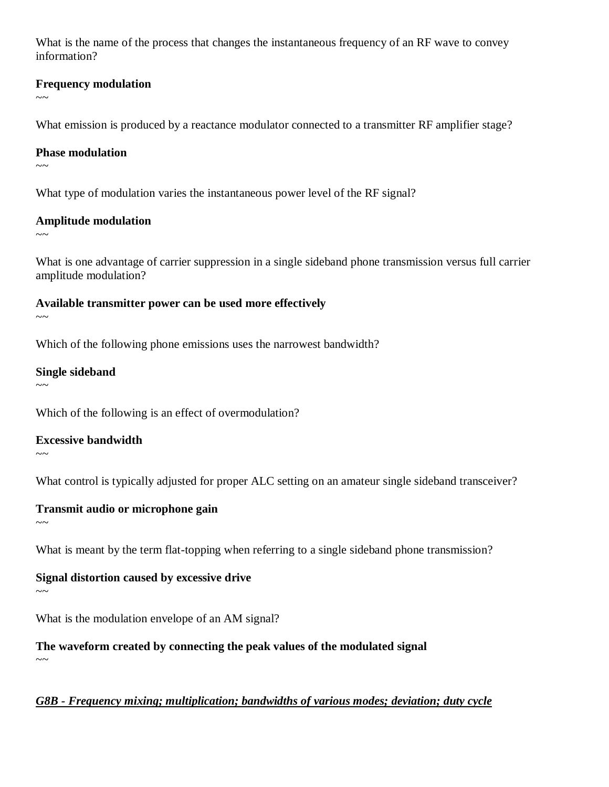What is the name of the process that changes the instantaneous frequency of an RF wave to convey information?

#### **Frequency modulation**

 $\sim$   $\sim$ 

What emission is produced by a reactance modulator connected to a transmitter RF amplifier stage?

#### **Phase modulation**

 $\sim$ ~

What type of modulation varies the instantaneous power level of the RF signal?

#### **Amplitude modulation**

 $\sim$ ~

What is one advantage of carrier suppression in a single sideband phone transmission versus full carrier amplitude modulation?

**Available transmitter power can be used more effectively**

Which of the following phone emissions uses the narrowest bandwidth?

**Single sideband**

 $\sim$ 

 $\sim$ ~

Which of the following is an effect of overmodulation?

**Excessive bandwidth**

 $\sim$ ~

 $\sim$ ~

What control is typically adjusted for proper ALC setting on an amateur single sideband transceiver?

**Transmit audio or microphone gain**

What is meant by the term flat-topping when referring to a single sideband phone transmission?

## **Signal distortion caused by excessive drive**

 $\sim\sim$ 

What is the modulation envelope of an AM signal?

**The waveform created by connecting the peak values of the modulated signal**  $\sim$   $\sim$ 

*G8B - Frequency mixing; multiplication; bandwidths of various modes; deviation; duty cycle*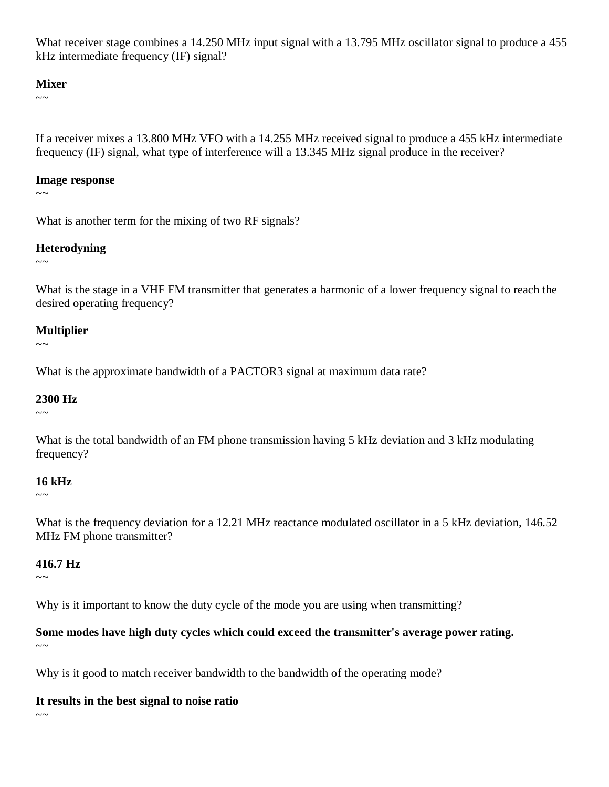What receiver stage combines a 14.250 MHz input signal with a 13.795 MHz oscillator signal to produce a 455 kHz intermediate frequency (IF) signal?

#### **Mixer**

 $\sim$   $\sim$ 

If a receiver mixes a 13.800 MHz VFO with a 14.255 MHz received signal to produce a 455 kHz intermediate frequency (IF) signal, what type of interference will a 13.345 MHz signal produce in the receiver?

#### **Image response**

 $\sim\sim$ 

What is another term for the mixing of two RF signals?

#### **Heterodyning**

 $\sim$   $\sim$ 

What is the stage in a VHF FM transmitter that generates a harmonic of a lower frequency signal to reach the desired operating frequency?

#### **Multiplier**

 $\sim$   $\sim$ 

What is the approximate bandwidth of a PACTOR3 signal at maximum data rate?

#### **2300 Hz**

 $\sim$  ~

What is the total bandwidth of an FM phone transmission having 5 kHz deviation and 3 kHz modulating frequency?

#### **16 kHz**

 $\sim\sim$ 

What is the frequency deviation for a 12.21 MHz reactance modulated oscillator in a 5 kHz deviation, 146.52 MHz FM phone transmitter?

## **416.7 Hz**

 $\sim$  ~

Why is it important to know the duty cycle of the mode you are using when transmitting?

**Some modes have high duty cycles which could exceed the transmitter's average power rating.**  $\sim$ ~

Why is it good to match receiver bandwidth to the bandwidth of the operating mode?

## **It results in the best signal to noise ratio**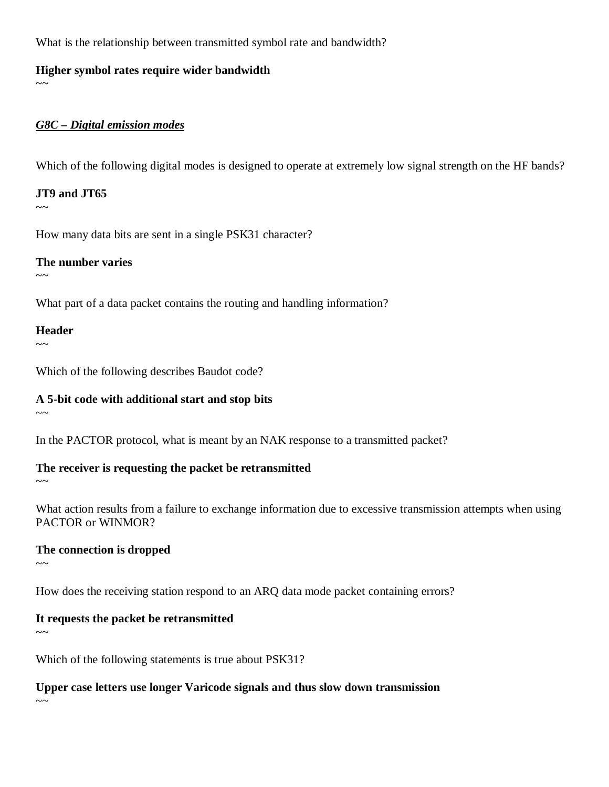What is the relationship between transmitted symbol rate and bandwidth?

#### **Higher symbol rates require wider bandwidth**

 $\sim$   $\sim$ 

#### *G8C – Digital emission modes*

Which of the following digital modes is designed to operate at extremely low signal strength on the HF bands?

## **JT9 and JT65**

 $\sim$   $\sim$ 

How many data bits are sent in a single PSK31 character?

## **The number varies**

 $\sim$ ~

What part of a data packet contains the routing and handling information?

## **Header**

 $\sim$ 

 $\sim$ 

 $\sim$   $\sim$ 

Which of the following describes Baudot code?

## **A 5-bit code with additional start and stop bits**

In the PACTOR protocol, what is meant by an NAK response to a transmitted packet?

## **The receiver is requesting the packet be retransmitted**

What action results from a failure to exchange information due to excessive transmission attempts when using PACTOR or WINMOR?

## **The connection is dropped**

 $\sim\sim$ 

How does the receiving station respond to an ARQ data mode packet containing errors?

## **It requests the packet be retransmitted**

 $\sim$ ~

 $\sim$  ~

Which of the following statements is true about PSK31?

**Upper case letters use longer Varicode signals and thus slow down transmission**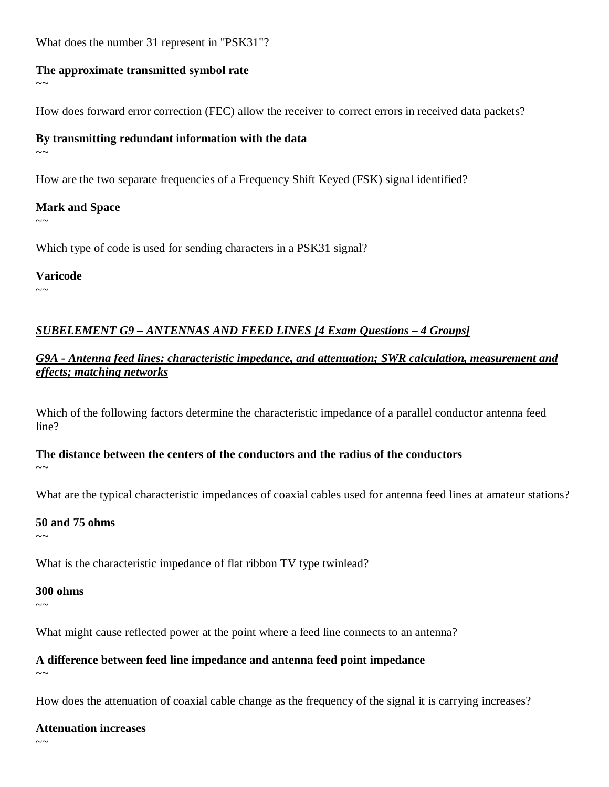What does the number 31 represent in "PSK31"?

#### **The approximate transmitted symbol rate**

How does forward error correction (FEC) allow the receiver to correct errors in received data packets?

#### **By transmitting redundant information with the data**

 $\sim$   $\sim$ 

 $\sim$   $\sim$ 

How are the two separate frequencies of a Frequency Shift Keyed (FSK) signal identified?

## **Mark and Space**

 $\sim$   $\sim$ 

 $\sim\sim$ 

Which type of code is used for sending characters in a PSK31 signal?

**Varicode**

# *SUBELEMENT G9 – ANTENNAS AND FEED LINES [4 Exam Questions – 4 Groups]*

*G9A - Antenna feed lines: characteristic impedance, and attenuation; SWR calculation, measurement and effects; matching networks* 

Which of the following factors determine the characteristic impedance of a parallel conductor antenna feed line?

# **The distance between the centers of the conductors and the radius of the conductors**

 $\sim$ ~

What are the typical characteristic impedances of coaxial cables used for antenna feed lines at amateur stations?

## **50 and 75 ohms**

 $\sim$  ~

What is the characteristic impedance of flat ribbon TV type twinlead?

#### **300 ohms**

 $\sim$ ~

What might cause reflected power at the point where a feed line connects to an antenna?

## **A difference between feed line impedance and antenna feed point impedance**

 $\sim$   $\sim$ 

How does the attenuation of coaxial cable change as the frequency of the signal it is carrying increases?

#### **Attenuation increases**

 $\sim$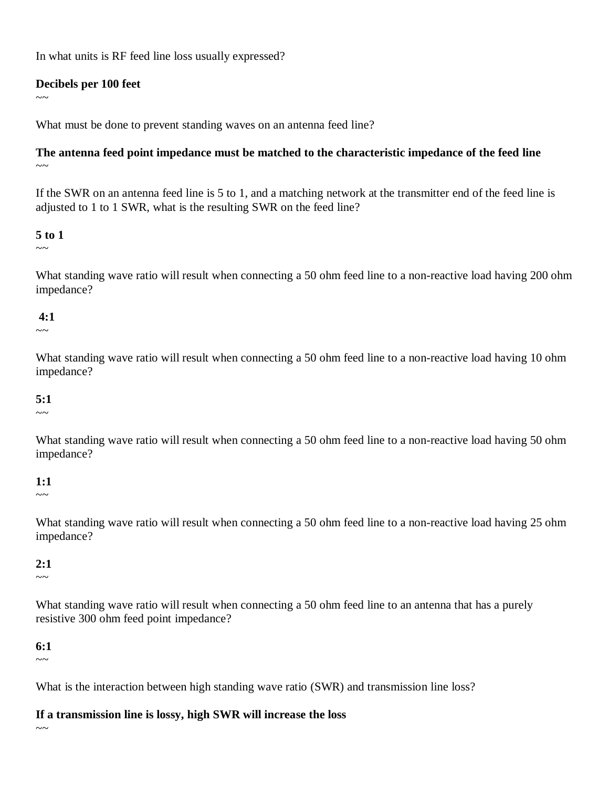In what units is RF feed line loss usually expressed?

#### **Decibels per 100 feet**

 $\sim$ 

What must be done to prevent standing waves on an antenna feed line?

#### **The antenna feed point impedance must be matched to the characteristic impedance of the feed line**  $\sim$ ~

If the SWR on an antenna feed line is 5 to 1, and a matching network at the transmitter end of the feed line is adjusted to 1 to 1 SWR, what is the resulting SWR on the feed line?

#### **5 to 1**

 $\sim$  ~

What standing wave ratio will result when connecting a 50 ohm feed line to a non-reactive load having 200 ohm impedance?

#### **4:1**

 $\sim$   $\sim$ 

What standing wave ratio will result when connecting a 50 ohm feed line to a non-reactive load having 10 ohm impedance?

## **5:1**

 $\sim$  ~

What standing wave ratio will result when connecting a 50 ohm feed line to a non-reactive load having 50 ohm impedance?

## **1:1**

 $\sim\sim$ 

What standing wave ratio will result when connecting a 50 ohm feed line to a non-reactive load having 25 ohm impedance?

## **2:1**

 $\sim$   $\sim$ 

What standing wave ratio will result when connecting a 50 ohm feed line to an antenna that has a purely resistive 300 ohm feed point impedance?

## **6:1**

 $\sim$ ~

What is the interaction between high standing wave ratio (SWR) and transmission line loss?

#### **If a transmission line is lossy, high SWR will increase the loss**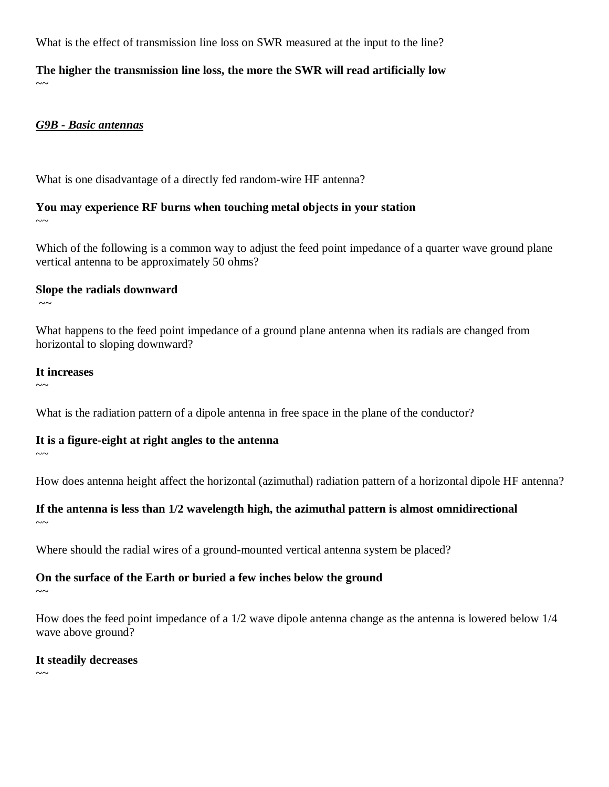What is the effect of transmission line loss on SWR measured at the input to the line?

**The higher the transmission line loss, the more the SWR will read artificially low**  $\sim$   $\sim$ 

#### *G9B - Basic antennas*

What is one disadvantage of a directly fed random-wire HF antenna?

#### **You may experience RF burns when touching metal objects in your station**   $\sim$   $\sim$

Which of the following is a common way to adjust the feed point impedance of a quarter wave ground plane vertical antenna to be approximately 50 ohms?

#### **Slope the radials downward**

What happens to the feed point impedance of a ground plane antenna when its radials are changed from horizontal to sloping downward?

#### **It increases**

 $\sim$   $\sim$ 

 $\sim$  ~

What is the radiation pattern of a dipole antenna in free space in the plane of the conductor?

#### **It is a figure-eight at right angles to the antenna**

 $\sim$ ~

 $\sim$ ~

How does antenna height affect the horizontal (azimuthal) radiation pattern of a horizontal dipole HF antenna?

## **If the antenna is less than 1/2 wavelength high, the azimuthal pattern is almost omnidirectional**

Where should the radial wires of a ground-mounted vertical antenna system be placed?

#### **On the surface of the Earth or buried a few inches below the ground**

 $\sim$ ~

How does the feed point impedance of a 1/2 wave dipole antenna change as the antenna is lowered below 1/4 wave above ground?

#### **It steadily decreases**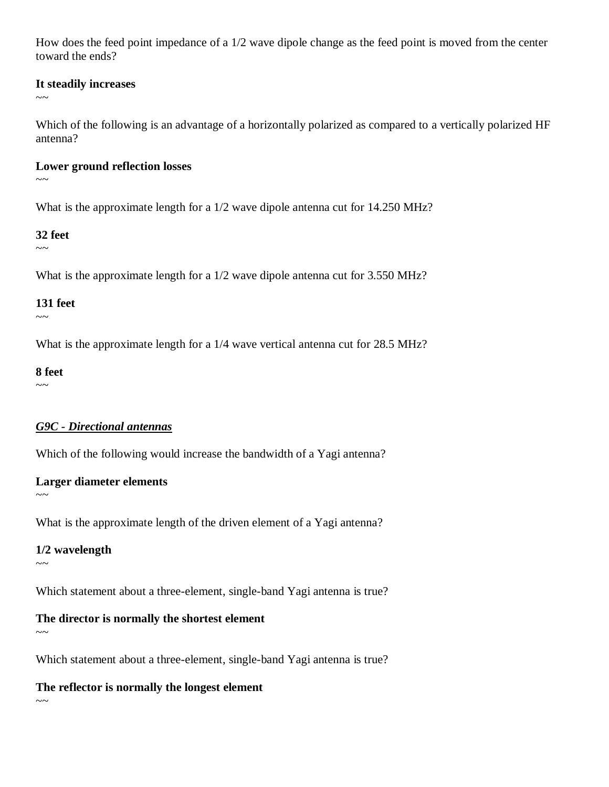How does the feed point impedance of a 1/2 wave dipole change as the feed point is moved from the center toward the ends?

#### **It steadily increases**

 $\sim$   $\sim$ 

Which of the following is an advantage of a horizontally polarized as compared to a vertically polarized HF antenna?

#### **Lower ground reflection losses**

 $\sim$ 

What is the approximate length for a  $1/2$  wave dipole antenna cut for  $14.250 \text{ MHz}$ ?

#### **32 feet**

 $\sim\sim$ 

What is the approximate length for a  $1/2$  wave dipole antenna cut for 3.550 MHz?

#### **131 feet**

 $\sim$   $\sim$ 

What is the approximate length for a  $1/4$  wave vertical antenna cut for 28.5 MHz?

#### **8 feet**

 $\sim$ ~

## *G9C - Directional antennas*

Which of the following would increase the bandwidth of a Yagi antenna?

## **Larger diameter elements**

What is the approximate length of the driven element of a Yagi antenna?

## **1/2 wavelength**

 $\sim$   $\sim$ 

 $\sim\sim$ 

Which statement about a three-element, single-band Yagi antenna is true?

## **The director is normally the shortest element**

 $\sim$ ~

Which statement about a three-element, single-band Yagi antenna is true?

## **The reflector is normally the longest element**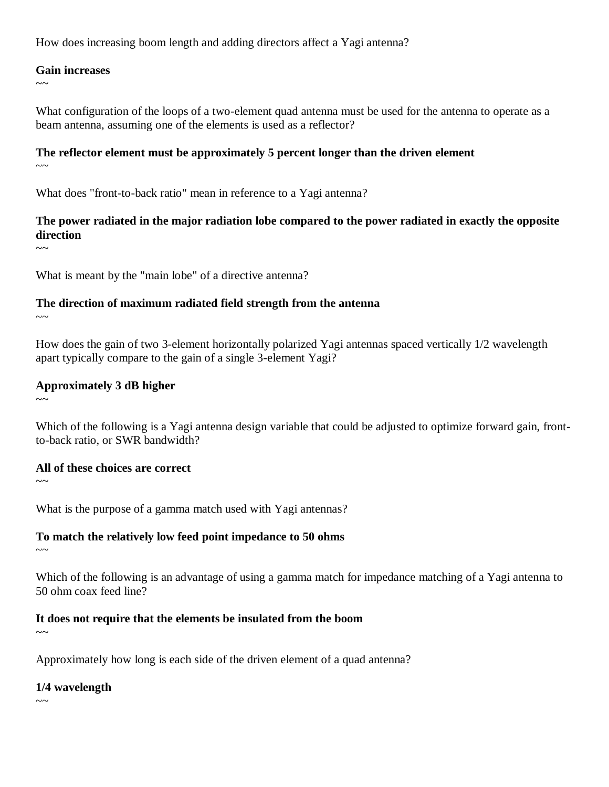How does increasing boom length and adding directors affect a Yagi antenna?

#### **Gain increases**

 $\sim$   $\sim$ 

What configuration of the loops of a two-element quad antenna must be used for the antenna to operate as a beam antenna, assuming one of the elements is used as a reflector?

#### **The reflector element must be approximately 5 percent longer than the driven element**  $\sim$ ~

What does "front-to-back ratio" mean in reference to a Yagi antenna?

## **The power radiated in the major radiation lobe compared to the power radiated in exactly the opposite direction**

 $\sim$ 

What is meant by the "main lobe" of a directive antenna?

## **The direction of maximum radiated field strength from the antenna**

 $\sim\sim$ 

How does the gain of two 3-element horizontally polarized Yagi antennas spaced vertically 1/2 wavelength apart typically compare to the gain of a single 3-element Yagi?

## **Approximately 3 dB higher**

Which of the following is a Yagi antenna design variable that could be adjusted to optimize forward gain, frontto-back ratio, or SWR bandwidth?

#### **All of these choices are correct**

 $\sim$ ~

 $\sim$   $\sim$ 

What is the purpose of a gamma match used with Yagi antennas?

## **To match the relatively low feed point impedance to 50 ohms**

 $\sim$   $\sim$ 

Which of the following is an advantage of using a gamma match for impedance matching of a Yagi antenna to 50 ohm coax feed line?

# **It does not require that the elements be insulated from the boom**

 $\sim$ ~

Approximately how long is each side of the driven element of a quad antenna?

## **1/4 wavelength**

 $\sim$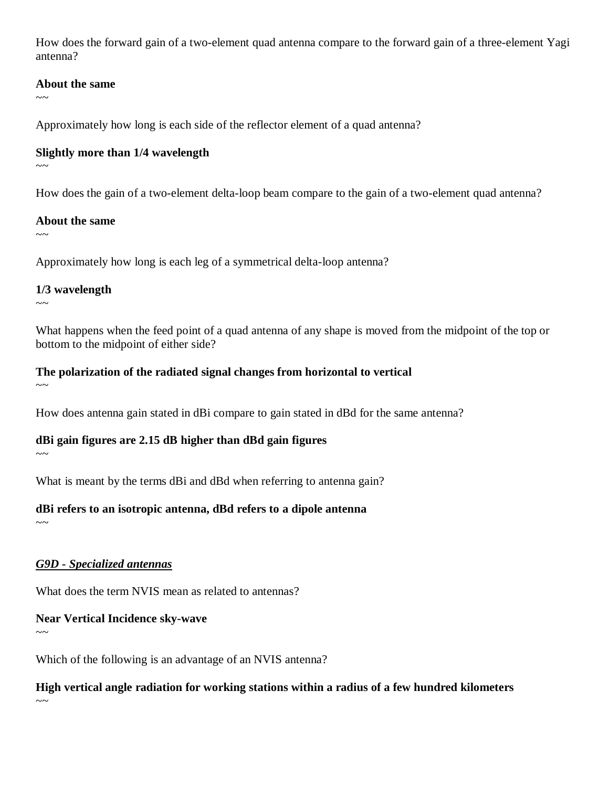How does the forward gain of a two-element quad antenna compare to the forward gain of a three-element Yagi antenna?

#### **About the same**

 $\sim$   $\sim$ 

Approximately how long is each side of the reflector element of a quad antenna?

#### **Slightly more than 1/4 wavelength**

 $\sim$ ~

How does the gain of a two-element delta-loop beam compare to the gain of a two-element quad antenna?

#### **About the same**

 $\sim$ ~

Approximately how long is each leg of a symmetrical delta-loop antenna?

#### **1/3 wavelength**

 $\sim$ ~

What happens when the feed point of a quad antenna of any shape is moved from the midpoint of the top or bottom to the midpoint of either side?

#### **The polarization of the radiated signal changes from horizontal to vertical**  $\sim$   $\sim$

How does antenna gain stated in dBi compare to gain stated in dBd for the same antenna?

## **dBi gain figures are 2.15 dB higher than dBd gain figures**

 $\sim$ ~

What is meant by the terms dBi and dBd when referring to antenna gain?

## **dBi refers to an isotropic antenna, dBd refers to a dipole antenna**

 $\sim$ ~

# *G9D - Specialized antennas*

What does the term NVIS mean as related to antennas?

# **Near Vertical Incidence sky-wave**

 $\sim$ ~

Which of the following is an advantage of an NVIS antenna?

**High vertical angle radiation for working stations within a radius of a few hundred kilometers**  $\sim$   $\sim$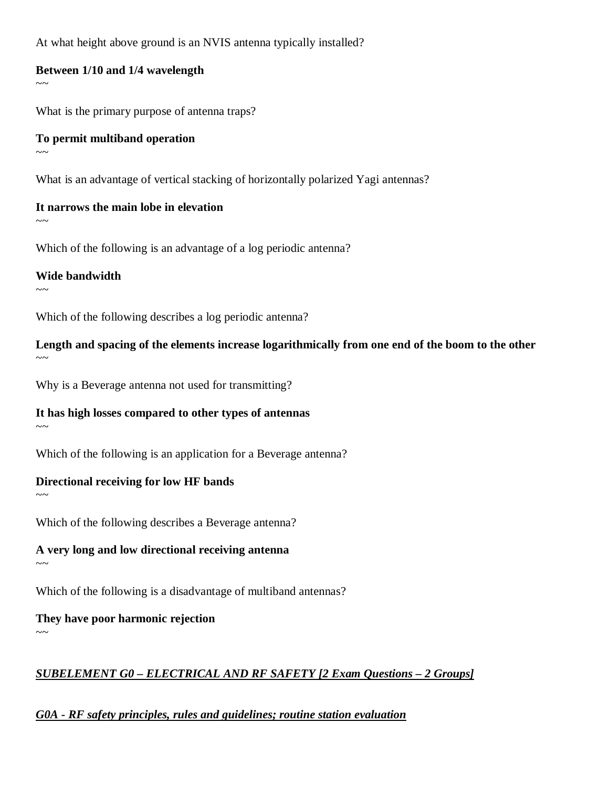At what height above ground is an NVIS antenna typically installed?

#### **Between 1/10 and 1/4 wavelength**

What is the primary purpose of antenna traps?

#### **To permit multiband operation**  $\sim$ ~

What is an advantage of vertical stacking of horizontally polarized Yagi antennas?

#### **It narrows the main lobe in elevation**  $\sim$   $\sim$

Which of the following is an advantage of a log periodic antenna?

#### **Wide bandwidth**

 $\sim\sim$ 

 $\sim$   $\sim$ 

Which of the following describes a log periodic antenna?

**Length and spacing of the elements increase logarithmically from one end of the boom to the other**  $\sim\sim$ 

Why is a Beverage antenna not used for transmitting?

#### **It has high losses compared to other types of antennas**

 $\sim$   $\sim$ 

 $\sim\sim$ 

Which of the following is an application for a Beverage antenna?

#### **Directional receiving for low HF bands**

Which of the following describes a Beverage antenna?

**A very long and low directional receiving antenna**

 $\sim$ ~

Which of the following is a disadvantage of multiband antennas?

**They have poor harmonic rejection**

# $\sim$   $\sim$

# *SUBELEMENT G0 – ELECTRICAL AND RF SAFETY [2 Exam Questions – 2 Groups]*

# *G0A - RF safety principles, rules and guidelines; routine station evaluation*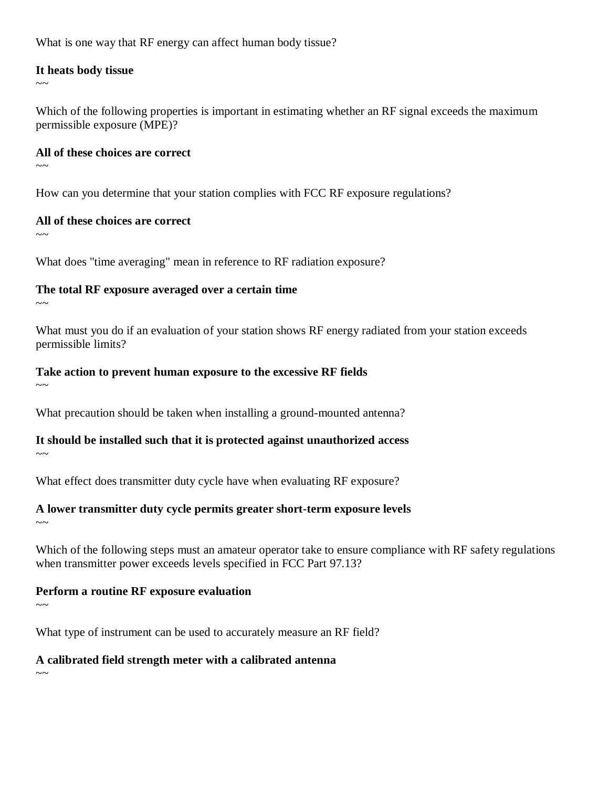What is one way that RF energy can affect human body tissue?

#### **It heats body tissue**

 $\sim$   $\sim$ 

Which of the following properties is important in estimating whether an RF signal exceeds the maximum permissible exposure (MPE)?

#### **All of these choices are correct**

 $\sim$   $\sim$ 

How can you determine that your station complies with FCC RF exposure regulations?

#### **All of these choices are correct**

 $\sim$   $\sim$ 

What does "time averaging" mean in reference to RF radiation exposure?

## **The total RF exposure averaged over a certain time**

 $\sim$   $\sim$ 

What must you do if an evaluation of your station shows RF energy radiated from your station exceeds permissible limits?

## **Take action to prevent human exposure to the excessive RF fields**

 $\sim$   $\sim$ 

What precaution should be taken when installing a ground-mounted antenna?

## **It should be installed such that it is protected against unauthorized access**

 $\sim$ ~

What effect does transmitter duty cycle have when evaluating RF exposure?

## **A lower transmitter duty cycle permits greater short-term exposure levels**

 $\sim$ ~

Which of the following steps must an amateur operator take to ensure compliance with RF safety regulations when transmitter power exceeds levels specified in FCC Part 97.13?

## **Perform a routine RF exposure evaluation**

 $\sim\sim$ 

What type of instrument can be used to accurately measure an RF field?

## **A calibrated field strength meter with a calibrated antenna**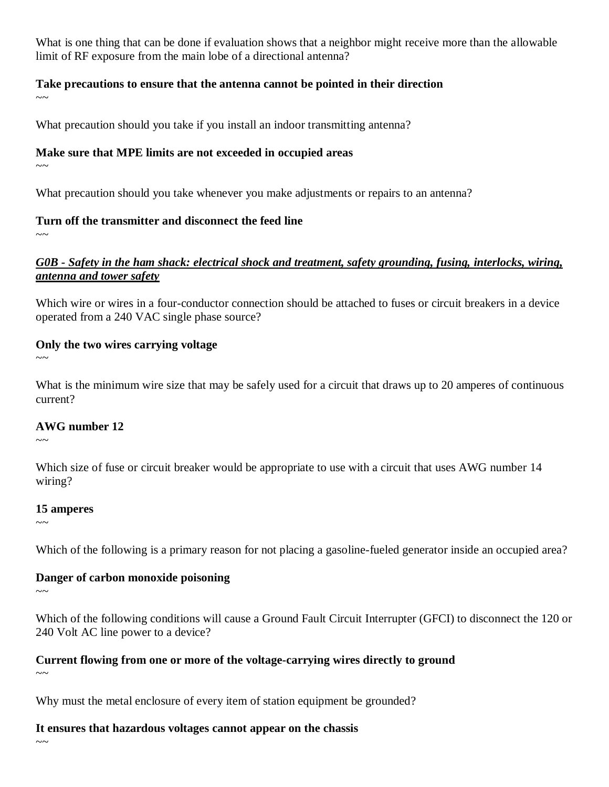What is one thing that can be done if evaluation shows that a neighbor might receive more than the allowable limit of RF exposure from the main lobe of a directional antenna?

## **Take precautions to ensure that the antenna cannot be pointed in their direction**

 $\sim$ 

What precaution should you take if you install an indoor transmitting antenna?

#### **Make sure that MPE limits are not exceeded in occupied areas**

 $\sim$ 

What precaution should you take whenever you make adjustments or repairs to an antenna?

## **Turn off the transmitter and disconnect the feed line**

 $\sim$ 

## *G0B - Safety in the ham shack: electrical shock and treatment, safety grounding, fusing, interlocks, wiring, antenna and tower safety*

Which wire or wires in a four-conductor connection should be attached to fuses or circuit breakers in a device operated from a 240 VAC single phase source?

## **Only the two wires carrying voltage**

 $\sim\sim$ 

What is the minimum wire size that may be safely used for a circuit that draws up to 20 amperes of continuous current?

## **AWG number 12**

 $\sim$   $\sim$ 

Which size of fuse or circuit breaker would be appropriate to use with a circuit that uses AWG number 14 wiring?

## **15 amperes**

 $\sim$ ~

Which of the following is a primary reason for not placing a gasoline-fueled generator inside an occupied area?

## **Danger of carbon monoxide poisoning**

 $\sim\sim$ 

Which of the following conditions will cause a Ground Fault Circuit Interrupter (GFCI) to disconnect the 120 or 240 Volt AC line power to a device?

# **Current flowing from one or more of the voltage-carrying wires directly to ground**

 $\sim$ 

Why must the metal enclosure of every item of station equipment be grounded?

# **It ensures that hazardous voltages cannot appear on the chassis**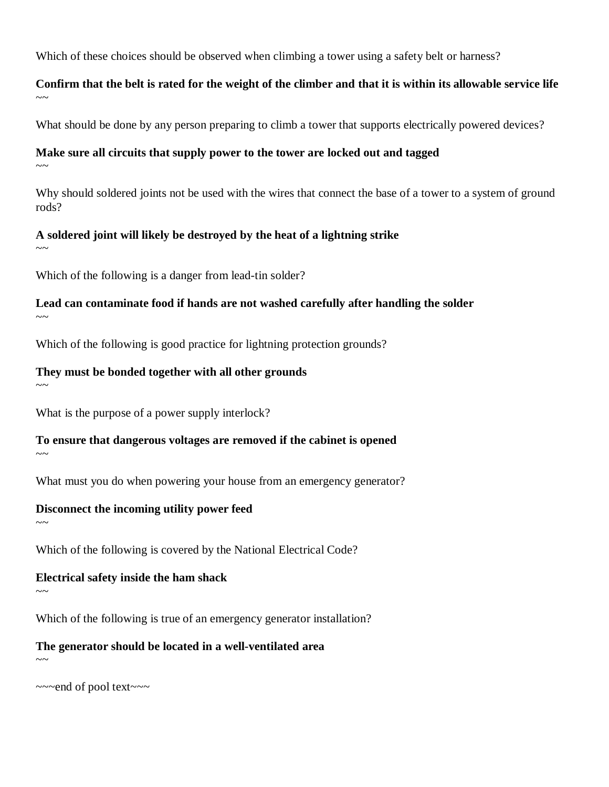Which of these choices should be observed when climbing a tower using a safety belt or harness?

## **Confirm that the belt is rated for the weight of the climber and that it is within its allowable service life**  $\sim$

What should be done by any person preparing to climb a tower that supports electrically powered devices?

#### **Make sure all circuits that supply power to the tower are locked out and tagged**

 $\sim$ 

Why should soldered joints not be used with the wires that connect the base of a tower to a system of ground rods?

#### **A soldered joint will likely be destroyed by the heat of a lightning strike**

 $\sim$ 

Which of the following is a danger from lead-tin solder?

**Lead can contaminate food if hands are not washed carefully after handling the solder**  $\sim$   $\sim$ 

Which of the following is good practice for lightning protection grounds?

#### **They must be bonded together with all other grounds**  $\sim$ ~

What is the purpose of a power supply interlock?

**To ensure that dangerous voltages are removed if the cabinet is opened**

 $\sim$ ~

 $\sim$ ~

What must you do when powering your house from an emergency generator?

## **Disconnect the incoming utility power feed**

Which of the following is covered by the National Electrical Code?

#### **Electrical safety inside the ham shack**

 $\sim$ ~

Which of the following is true of an emergency generator installation?

**The generator should be located in a well-ventilated area** 

 $\sim$ 

~~~end of pool text~~~